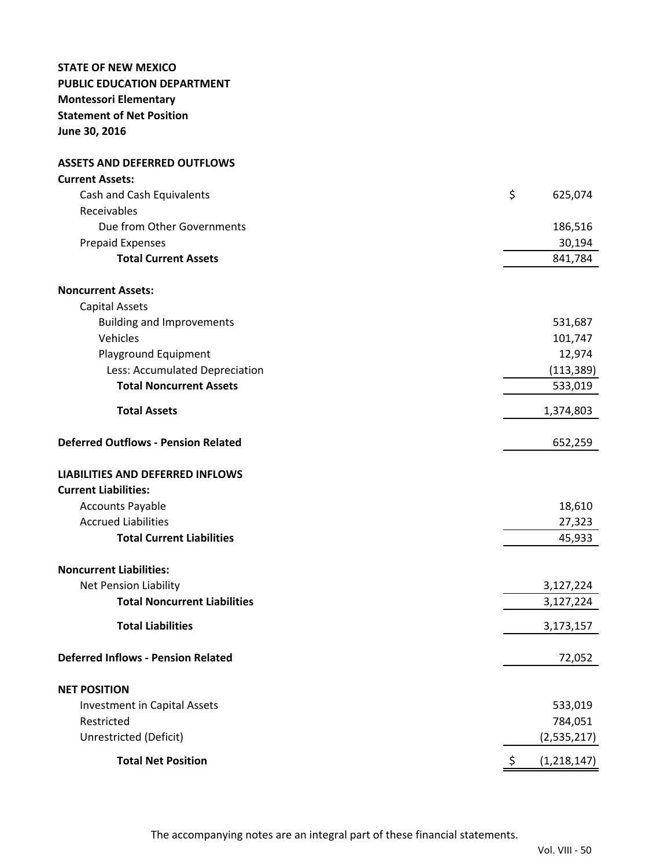# **STATE OF NEW MEXICO PUBLIC EDUCATION DEPARTMENT Montessori Elementary Statement of Net Position June 30, 2016**

**ASSETS AND DEFERRED OUTFLOWS**

| <b>Current Assets:</b>                     |                   |
|--------------------------------------------|-------------------|
| Cash and Cash Equivalents                  | \$<br>625,074     |
| Receivables                                |                   |
| Due from Other Governments                 | 186,516           |
| <b>Prepaid Expenses</b>                    | 30,194            |
| <b>Total Current Assets</b>                | 841,784           |
| <b>Noncurrent Assets:</b>                  |                   |
| <b>Capital Assets</b>                      |                   |
| <b>Building and Improvements</b>           | 531,687           |
| Vehicles                                   | 101,747           |
| Playground Equipment                       | 12,974            |
| Less: Accumulated Depreciation             | (113, 389)        |
| <b>Total Noncurrent Assets</b>             | 533,019           |
| <b>Total Assets</b>                        | 1,374,803         |
| <b>Deferred Outflows - Pension Related</b> | 652,259           |
| <b>LIABILITIES AND DEFERRED INFLOWS</b>    |                   |
| <b>Current Liabilities:</b>                |                   |
| <b>Accounts Payable</b>                    | 18,610            |
| <b>Accrued Liabilities</b>                 | 27,323            |
| <b>Total Current Liabilities</b>           | 45,933            |
| <b>Noncurrent Liabilities:</b>             |                   |
| <b>Net Pension Liability</b>               | 3,127,224         |
| <b>Total Noncurrent Liabilities</b>        | 3,127,224         |
| <b>Total Liabilities</b>                   | 3,173,157         |
| <b>Deferred Inflows - Pension Related</b>  | 72,052            |
| <b>NET POSITION</b>                        |                   |
| <b>Investment in Capital Assets</b>        | 533,019           |
| Restricted                                 | 784,051           |
| Unrestricted (Deficit)                     | (2,535,217)       |
| <b>Total Net Position</b>                  | \$<br>(1,218,147) |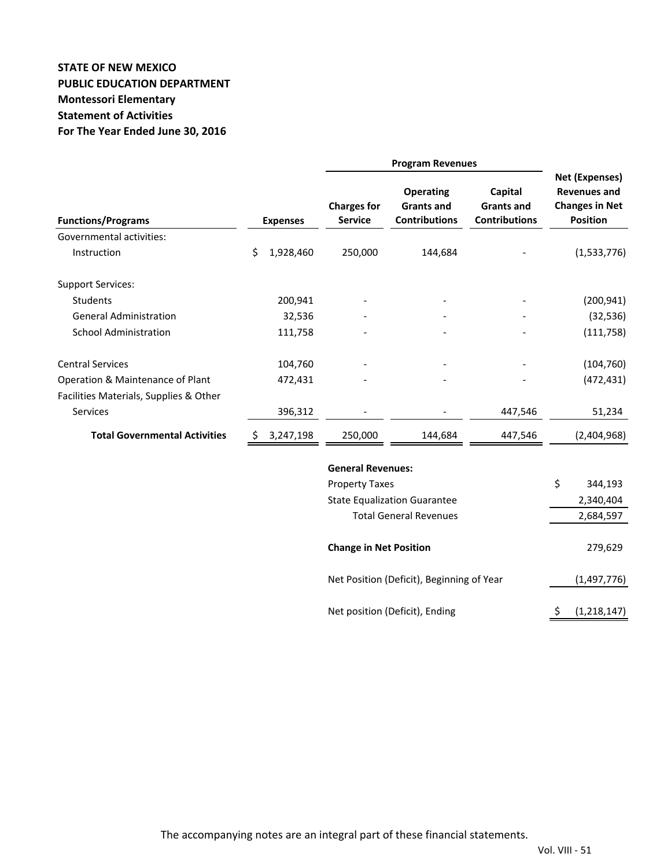# **STATE OF NEW MEXICO PUBLIC EDUCATION DEPARTMENT Montessori Elementary Statement of Activities For The Year Ended June 30, 2016**

| <b>Functions/Programs</b>              |    | <b>Expenses</b> | <b>Charges for</b><br><b>Service</b> | <b>Operating</b><br><b>Grants and</b><br><b>Contributions</b> | Capital<br><b>Grants and</b><br><b>Contributions</b> | <b>Net (Expenses)</b><br><b>Revenues and</b><br><b>Changes in Net</b><br><b>Position</b> |
|----------------------------------------|----|-----------------|--------------------------------------|---------------------------------------------------------------|------------------------------------------------------|------------------------------------------------------------------------------------------|
| Governmental activities:               |    |                 |                                      |                                                               |                                                      |                                                                                          |
| Instruction                            | \$ | 1,928,460       | 250,000                              | 144,684                                                       |                                                      | (1,533,776)                                                                              |
| <b>Support Services:</b>               |    |                 |                                      |                                                               |                                                      |                                                                                          |
| <b>Students</b>                        |    | 200,941         |                                      |                                                               |                                                      | (200, 941)                                                                               |
| <b>General Administration</b>          |    | 32,536          |                                      |                                                               |                                                      | (32, 536)                                                                                |
| <b>School Administration</b>           |    | 111,758         |                                      |                                                               |                                                      | (111, 758)                                                                               |
| <b>Central Services</b>                |    | 104,760         |                                      |                                                               |                                                      | (104, 760)                                                                               |
| Operation & Maintenance of Plant       |    | 472,431         |                                      |                                                               |                                                      | (472, 431)                                                                               |
| Facilities Materials, Supplies & Other |    |                 |                                      |                                                               |                                                      |                                                                                          |
| Services                               |    | 396,312         |                                      |                                                               | 447,546                                              | 51,234                                                                                   |
| <b>Total Governmental Activities</b>   |    | 3,247,198       | 250,000                              | 144,684                                                       | 447,546                                              | (2,404,968)                                                                              |
|                                        |    |                 | <b>General Revenues:</b>             |                                                               |                                                      |                                                                                          |
|                                        |    |                 | <b>Property Taxes</b>                |                                                               |                                                      | \$<br>344,193                                                                            |
|                                        |    |                 |                                      | <b>State Equalization Guarantee</b>                           |                                                      | 2,340,404                                                                                |
|                                        |    |                 |                                      | <b>Total General Revenues</b>                                 |                                                      | 2,684,597                                                                                |
|                                        |    |                 | <b>Change in Net Position</b>        |                                                               |                                                      | 279,629                                                                                  |
|                                        |    |                 |                                      | Net Position (Deficit), Beginning of Year                     |                                                      | (1, 497, 776)                                                                            |
|                                        |    |                 |                                      | Net position (Deficit), Ending                                |                                                      | \$<br>(1, 218, 147)                                                                      |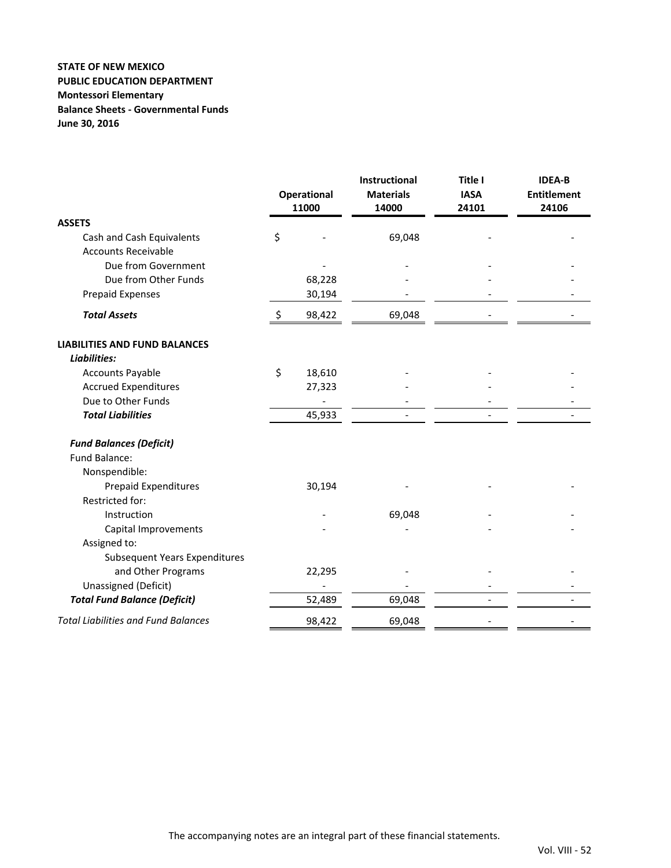### **STATE OF NEW MEXICO PUBLIC EDUCATION DEPARTMENT Montessori Elementary Balance Sheets ‐ Governmental Funds June 30, 2016**

|                                            | Operational<br>11000 | <b>Instructional</b><br><b>Materials</b><br>14000 | Title I<br><b>IASA</b><br>24101 | <b>IDEA-B</b><br><b>Entitlement</b><br>24106 |  |
|--------------------------------------------|----------------------|---------------------------------------------------|---------------------------------|----------------------------------------------|--|
| <b>ASSETS</b>                              |                      |                                                   |                                 |                                              |  |
| Cash and Cash Equivalents                  | \$                   | 69,048                                            |                                 |                                              |  |
| <b>Accounts Receivable</b>                 |                      |                                                   |                                 |                                              |  |
| Due from Government                        |                      |                                                   |                                 |                                              |  |
| Due from Other Funds                       | 68,228               |                                                   |                                 |                                              |  |
| <b>Prepaid Expenses</b>                    | 30,194               |                                                   |                                 |                                              |  |
| <b>Total Assets</b>                        | \$<br>98,422         | 69,048                                            |                                 |                                              |  |
| <b>LIABILITIES AND FUND BALANCES</b>       |                      |                                                   |                                 |                                              |  |
| Liabilities:                               |                      |                                                   |                                 |                                              |  |
| <b>Accounts Payable</b>                    | \$<br>18,610         |                                                   |                                 |                                              |  |
| <b>Accrued Expenditures</b>                | 27,323               |                                                   |                                 |                                              |  |
| Due to Other Funds                         |                      |                                                   |                                 |                                              |  |
| <b>Total Liabilities</b>                   | 45,933               |                                                   |                                 |                                              |  |
| <b>Fund Balances (Deficit)</b>             |                      |                                                   |                                 |                                              |  |
| Fund Balance:                              |                      |                                                   |                                 |                                              |  |
| Nonspendible:                              |                      |                                                   |                                 |                                              |  |
| <b>Prepaid Expenditures</b>                | 30,194               |                                                   |                                 |                                              |  |
| Restricted for:                            |                      |                                                   |                                 |                                              |  |
| Instruction                                |                      | 69,048                                            |                                 |                                              |  |
| Capital Improvements                       |                      |                                                   |                                 |                                              |  |
| Assigned to:                               |                      |                                                   |                                 |                                              |  |
| <b>Subsequent Years Expenditures</b>       |                      |                                                   |                                 |                                              |  |
| and Other Programs                         | 22,295               |                                                   |                                 |                                              |  |
| Unassigned (Deficit)                       |                      |                                                   |                                 |                                              |  |
| <b>Total Fund Balance (Deficit)</b>        | 52,489               | 69,048                                            |                                 |                                              |  |
| <b>Total Liabilities and Fund Balances</b> | 98,422               | 69,048                                            |                                 |                                              |  |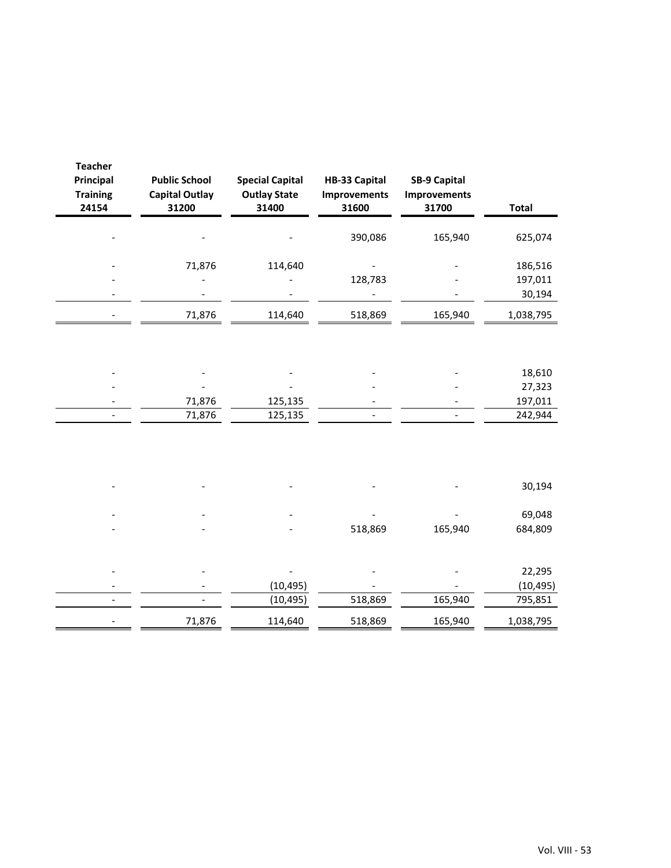| <b>Teacher</b><br><b>Principal</b><br><b>Training</b><br>24154 | <b>Public School</b><br><b>Capital Outlay</b><br>31200 | <b>Special Capital</b><br><b>Outlay State</b><br>31400 | HB-33 Capital<br><b>Improvements</b><br>31600 | <b>SB-9 Capital</b><br><b>Improvements</b><br>31700 | <b>Total</b>                 |
|----------------------------------------------------------------|--------------------------------------------------------|--------------------------------------------------------|-----------------------------------------------|-----------------------------------------------------|------------------------------|
|                                                                |                                                        |                                                        | 390,086                                       | 165,940                                             | 625,074                      |
|                                                                | 71,876                                                 | 114,640                                                | 128,783                                       |                                                     | 186,516<br>197,011<br>30,194 |
|                                                                | 71,876                                                 | 114,640                                                | 518,869                                       | 165,940                                             | 1,038,795                    |
|                                                                |                                                        |                                                        |                                               |                                                     |                              |
|                                                                |                                                        |                                                        |                                               |                                                     | 18,610                       |
|                                                                |                                                        |                                                        |                                               |                                                     | 27,323                       |
|                                                                | 71,876                                                 | 125,135                                                |                                               |                                                     | 197,011                      |
|                                                                | 71,876                                                 | 125,135                                                |                                               |                                                     | 242,944                      |
|                                                                |                                                        |                                                        |                                               |                                                     |                              |
|                                                                |                                                        |                                                        |                                               |                                                     | 30,194                       |
|                                                                |                                                        |                                                        |                                               |                                                     | 69,048                       |
|                                                                |                                                        |                                                        | 518,869                                       | 165,940                                             | 684,809                      |
|                                                                |                                                        |                                                        |                                               |                                                     |                              |
|                                                                |                                                        |                                                        |                                               |                                                     | 22,295                       |
|                                                                |                                                        | (10, 495)                                              |                                               |                                                     | (10, 495)                    |
|                                                                |                                                        | (10, 495)                                              | 518,869                                       | 165,940                                             | 795,851                      |
|                                                                | 71,876                                                 | 114,640                                                | 518,869                                       | 165,940                                             | 1,038,795                    |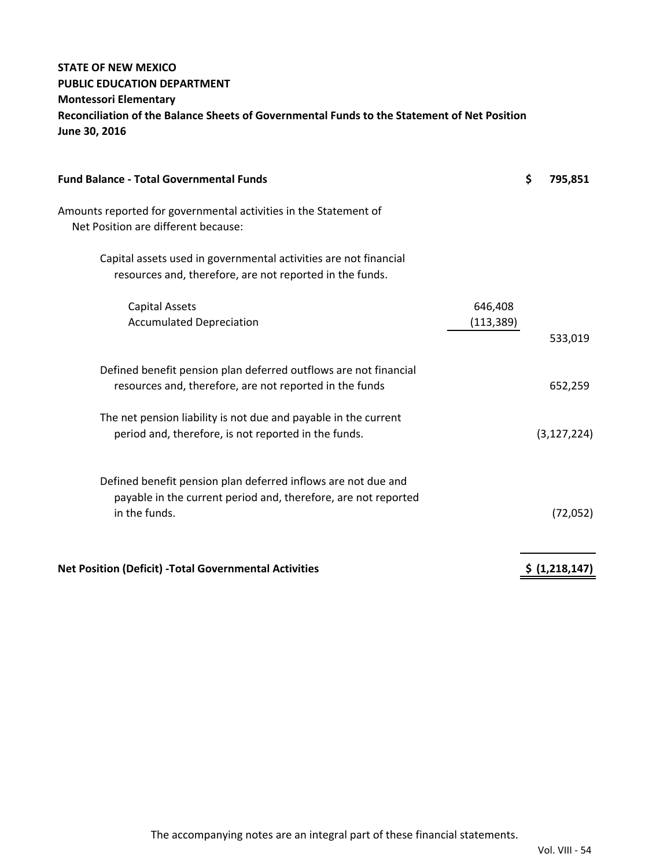# **STATE OF NEW MEXICO PUBLIC EDUCATION DEPARTMENT Montessori Elementary Reconciliation of the Balance Sheets of Governmental Funds to the Statement of Net Position June 30, 2016**

| <b>Fund Balance - Total Governmental Funds</b>                                                                                                   |                       | \$<br>795,851  |
|--------------------------------------------------------------------------------------------------------------------------------------------------|-----------------------|----------------|
| Amounts reported for governmental activities in the Statement of<br>Net Position are different because:                                          |                       |                |
| Capital assets used in governmental activities are not financial<br>resources and, therefore, are not reported in the funds.                     |                       |                |
| <b>Capital Assets</b><br><b>Accumulated Depreciation</b>                                                                                         | 646,408<br>(113, 389) | 533,019        |
| Defined benefit pension plan deferred outflows are not financial<br>resources and, therefore, are not reported in the funds                      |                       | 652,259        |
| The net pension liability is not due and payable in the current<br>period and, therefore, is not reported in the funds.                          |                       | (3, 127, 224)  |
| Defined benefit pension plan deferred inflows are not due and<br>payable in the current period and, therefore, are not reported<br>in the funds. |                       | (72,052)       |
| <b>Net Position (Deficit) - Total Governmental Activities</b>                                                                                    |                       | \$ (1,218,147) |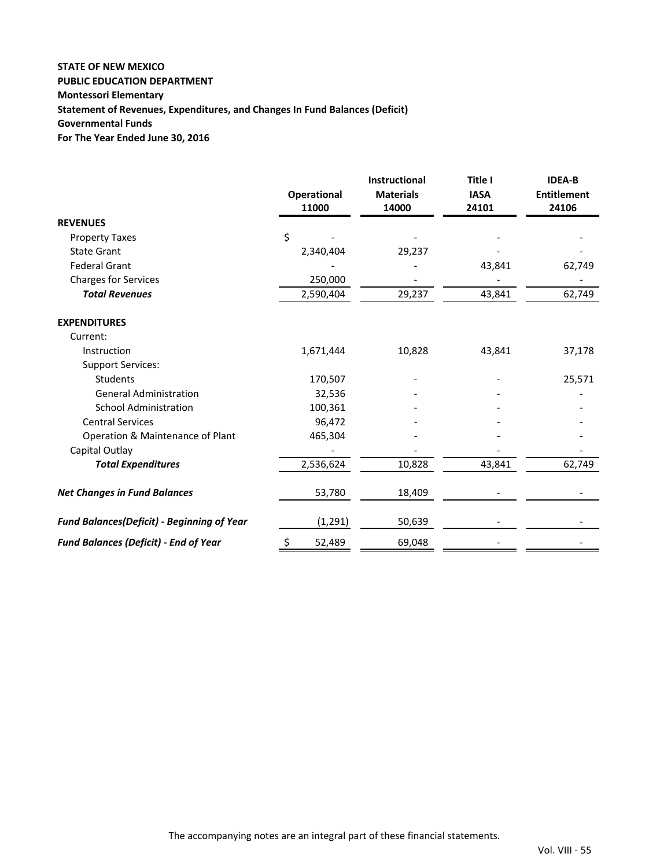## **STATE OF NEW MEXICO PUBLIC EDUCATION DEPARTMENT Montessori Elementary Statement of Revenues, Expenditures, and Changes In Fund Balances (Deficit) Governmental Funds For The Year Ended June 30, 2016**

|                                                   | <b>Operational</b><br>11000 | Instructional<br><b>Materials</b><br>14000 | Title I<br><b>IASA</b><br>24101 | <b>IDEA-B</b><br><b>Entitlement</b><br>24106 |
|---------------------------------------------------|-----------------------------|--------------------------------------------|---------------------------------|----------------------------------------------|
| <b>REVENUES</b>                                   |                             |                                            |                                 |                                              |
| <b>Property Taxes</b>                             | \$                          |                                            |                                 |                                              |
| <b>State Grant</b>                                | 2,340,404                   | 29,237                                     |                                 |                                              |
| <b>Federal Grant</b>                              |                             |                                            | 43,841                          | 62,749                                       |
| <b>Charges for Services</b>                       | 250,000                     |                                            |                                 |                                              |
| <b>Total Revenues</b>                             | 2,590,404                   | 29,237                                     | 43,841                          | 62,749                                       |
| <b>EXPENDITURES</b>                               |                             |                                            |                                 |                                              |
| Current:                                          |                             |                                            |                                 |                                              |
| Instruction                                       | 1,671,444                   | 10,828                                     | 43,841                          | 37,178                                       |
| <b>Support Services:</b>                          |                             |                                            |                                 |                                              |
| Students                                          | 170,507                     |                                            |                                 | 25,571                                       |
| <b>General Administration</b>                     | 32,536                      |                                            |                                 |                                              |
| <b>School Administration</b>                      | 100,361                     |                                            |                                 |                                              |
| <b>Central Services</b>                           | 96,472                      |                                            |                                 |                                              |
| Operation & Maintenance of Plant                  | 465,304                     |                                            |                                 |                                              |
| Capital Outlay                                    |                             |                                            |                                 |                                              |
| <b>Total Expenditures</b>                         | 2,536,624                   | 10,828                                     | 43,841                          | 62,749                                       |
| <b>Net Changes in Fund Balances</b>               | 53,780                      | 18,409                                     |                                 |                                              |
| <b>Fund Balances(Deficit) - Beginning of Year</b> | (1, 291)                    | 50,639                                     |                                 |                                              |
| <b>Fund Balances (Deficit) - End of Year</b>      | \$<br>52,489                | 69,048                                     |                                 |                                              |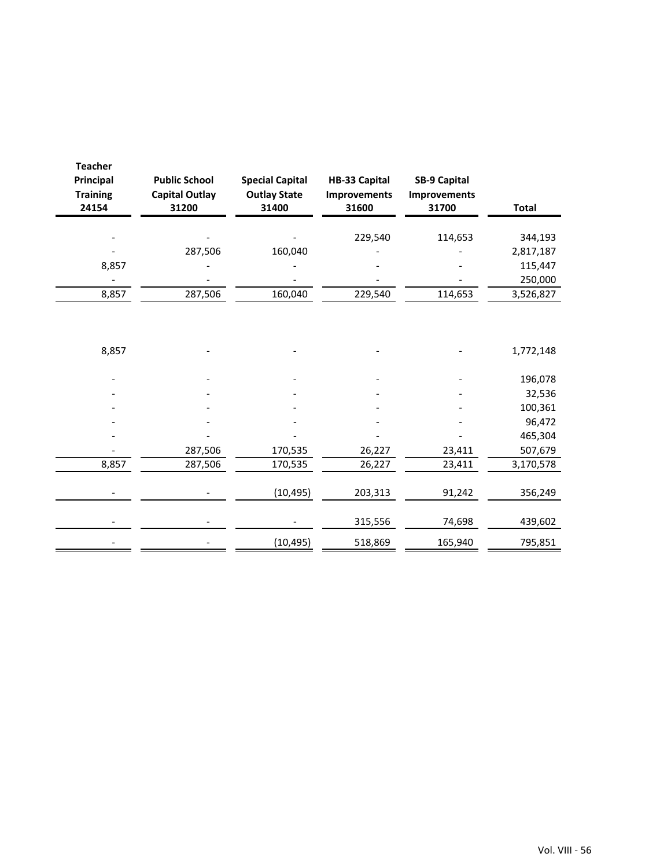| <b>Teacher</b><br>Principal<br><b>Training</b><br>24154 | <b>Public School</b><br><b>Capital Outlay</b><br>31200 | <b>Special Capital</b><br><b>Outlay State</b><br>31400 | <b>HB-33 Capital</b><br>Improvements<br>31600 | <b>SB-9 Capital</b><br><b>Improvements</b><br>31700 | <b>Total</b> |
|---------------------------------------------------------|--------------------------------------------------------|--------------------------------------------------------|-----------------------------------------------|-----------------------------------------------------|--------------|
|                                                         |                                                        |                                                        |                                               |                                                     |              |
|                                                         |                                                        |                                                        | 229,540                                       | 114,653                                             | 344,193      |
|                                                         | 287,506                                                | 160,040                                                |                                               |                                                     | 2,817,187    |
| 8,857                                                   |                                                        |                                                        |                                               |                                                     | 115,447      |
|                                                         |                                                        |                                                        |                                               |                                                     | 250,000      |
| 8,857                                                   | 287,506                                                | 160,040                                                | 229,540                                       | 114,653                                             | 3,526,827    |
|                                                         |                                                        |                                                        |                                               |                                                     |              |
|                                                         |                                                        |                                                        |                                               |                                                     |              |
| 8,857                                                   |                                                        |                                                        |                                               |                                                     | 1,772,148    |
|                                                         |                                                        |                                                        |                                               |                                                     |              |
|                                                         |                                                        |                                                        |                                               |                                                     | 196,078      |
|                                                         |                                                        |                                                        |                                               |                                                     | 32,536       |
|                                                         |                                                        |                                                        |                                               |                                                     | 100,361      |
|                                                         |                                                        |                                                        |                                               |                                                     | 96,472       |
|                                                         |                                                        |                                                        |                                               |                                                     | 465,304      |
|                                                         | 287,506                                                | 170,535                                                | 26,227                                        | 23,411                                              | 507,679      |
| 8,857                                                   | 287,506                                                | 170,535                                                | 26,227                                        | 23,411                                              | 3,170,578    |
|                                                         |                                                        |                                                        |                                               |                                                     |              |
|                                                         |                                                        | (10, 495)                                              | 203,313                                       | 91,242                                              | 356,249      |
|                                                         |                                                        |                                                        | 315,556                                       | 74,698                                              | 439,602      |
|                                                         |                                                        | (10, 495)                                              | 518,869                                       | 165,940                                             | 795,851      |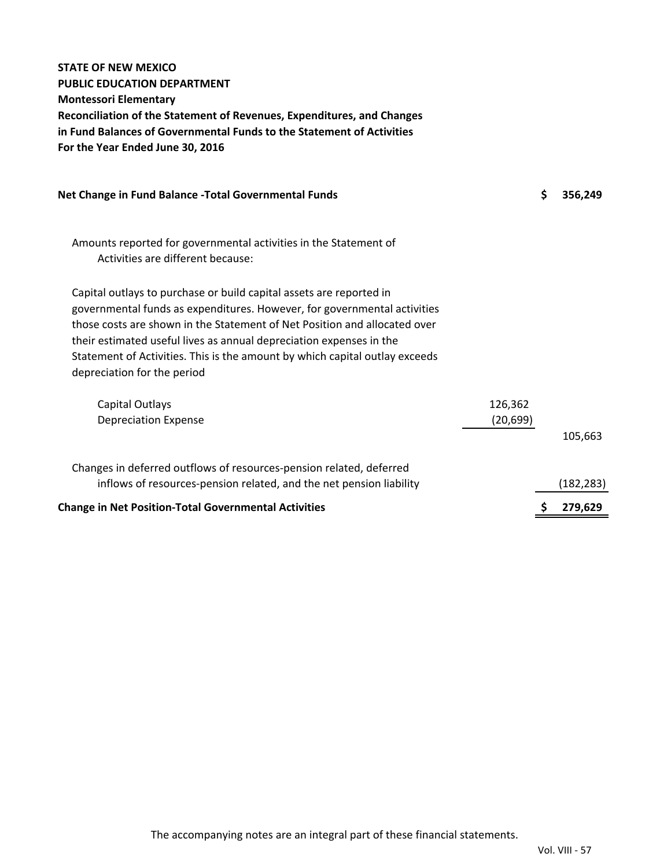| <b>STATE OF NEW MEXICO</b>                                                                                                                       |           |               |
|--------------------------------------------------------------------------------------------------------------------------------------------------|-----------|---------------|
| <b>PUBLIC EDUCATION DEPARTMENT</b><br><b>Montessori Elementary</b>                                                                               |           |               |
| Reconciliation of the Statement of Revenues, Expenditures, and Changes                                                                           |           |               |
| in Fund Balances of Governmental Funds to the Statement of Activities                                                                            |           |               |
| For the Year Ended June 30, 2016                                                                                                                 |           |               |
| Net Change in Fund Balance - Total Governmental Funds                                                                                            |           | \$<br>356,249 |
| Amounts reported for governmental activities in the Statement of                                                                                 |           |               |
| Activities are different because:                                                                                                                |           |               |
| Capital outlays to purchase or build capital assets are reported in                                                                              |           |               |
| governmental funds as expenditures. However, for governmental activities                                                                         |           |               |
| those costs are shown in the Statement of Net Position and allocated over<br>their estimated useful lives as annual depreciation expenses in the |           |               |
| Statement of Activities. This is the amount by which capital outlay exceeds                                                                      |           |               |
| depreciation for the period                                                                                                                      |           |               |
| Capital Outlays                                                                                                                                  | 126,362   |               |
| <b>Depreciation Expense</b>                                                                                                                      | (20, 699) |               |
|                                                                                                                                                  |           | 105,663       |
| Changes in deferred outflows of resources-pension related, deferred                                                                              |           |               |
| inflows of resources-pension related, and the net pension liability                                                                              |           | (182, 283)    |
| <b>Change in Net Position-Total Governmental Activities</b>                                                                                      |           | \$<br>279,629 |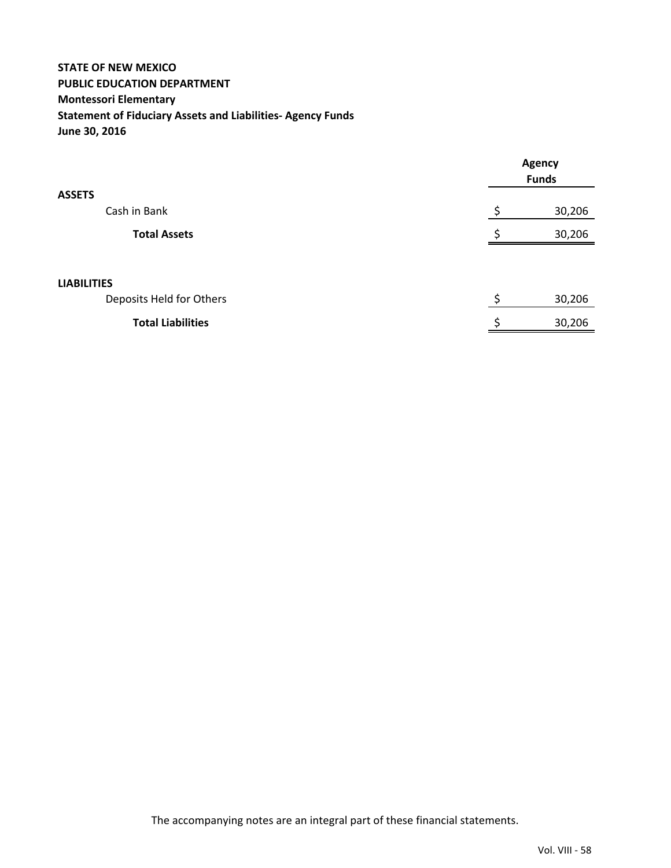# **STATE OF NEW MEXICO PUBLIC EDUCATION DEPARTMENT Montessori Elementary Statement of Fiduciary Assets and Liabilities‐ Agency Funds June 30, 2016**

|                          | Agency<br><b>Funds</b> |        |
|--------------------------|------------------------|--------|
| <b>ASSETS</b>            |                        |        |
| Cash in Bank             | Ś                      | 30,206 |
| <b>Total Assets</b>      |                        | 30,206 |
|                          |                        |        |
| <b>LIABILITIES</b>       |                        |        |
| Deposits Held for Others | \$                     | 30,206 |
| <b>Total Liabilities</b> |                        | 30,206 |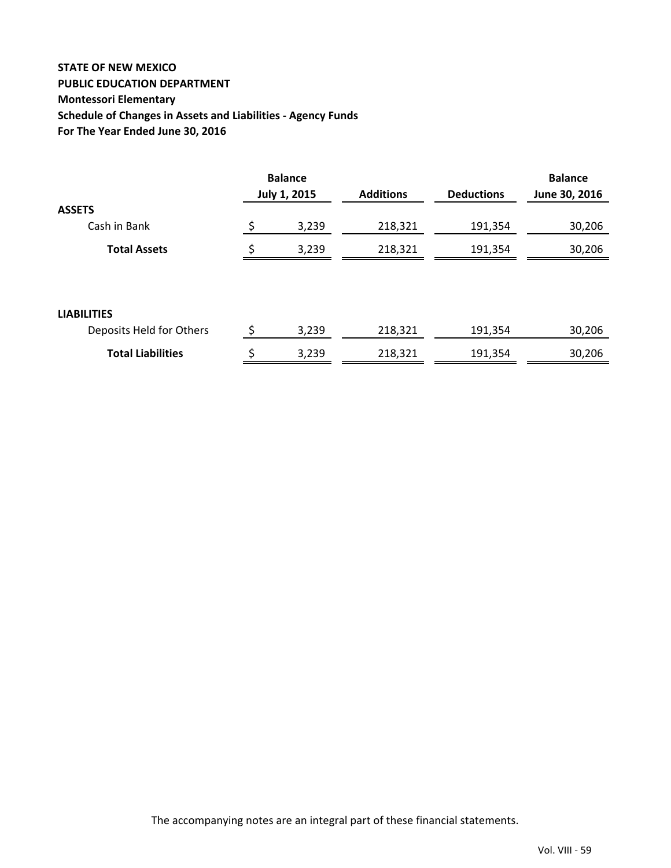# **STATE OF NEW MEXICO PUBLIC EDUCATION DEPARTMENT Montessori Elementary Schedule of Changes in Assets and Liabilities ‐ Agency Funds For The Year Ended June 30, 2016**

|                          |    | <b>Balance</b>      |                  |                   | <b>Balance</b> |
|--------------------------|----|---------------------|------------------|-------------------|----------------|
|                          |    | <b>July 1, 2015</b> | <b>Additions</b> | <b>Deductions</b> | June 30, 2016  |
| <b>ASSETS</b>            |    |                     |                  |                   |                |
| Cash in Bank             | \$ | 3,239               | 218,321          | 191,354           | 30,206         |
| <b>Total Assets</b>      | Ś  | 3,239               | 218,321          | 191,354           | 30,206         |
|                          |    |                     |                  |                   |                |
| <b>LIABILITIES</b>       |    |                     |                  |                   |                |
| Deposits Held for Others | \$ | 3,239               | 218,321          | 191,354           | 30,206         |
| <b>Total Liabilities</b> | \$ | 3,239               | 218,321          | 191,354           | 30,206         |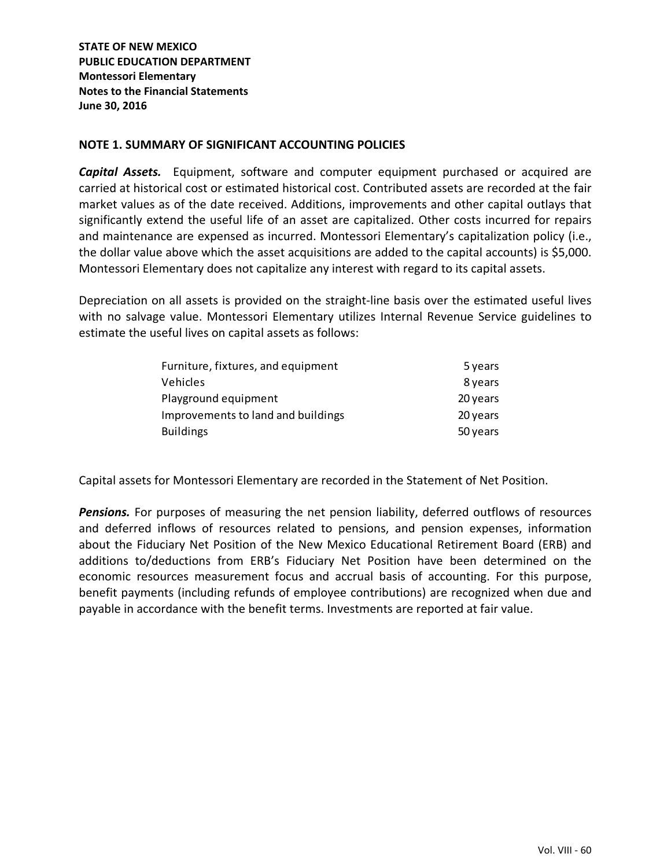**STATE OF NEW MEXICO PUBLIC EDUCATION DEPARTMENT Montessori Elementary Notes to the Financial Statements June 30, 2016**

## **NOTE 1. SUMMARY OF SIGNIFICANT ACCOUNTING POLICIES**

*Capital Assets.* Equipment, software and computer equipment purchased or acquired are carried at historical cost or estimated historical cost. Contributed assets are recorded at the fair market values as of the date received. Additions, improvements and other capital outlays that significantly extend the useful life of an asset are capitalized. Other costs incurred for repairs and maintenance are expensed as incurred. Montessori Elementary's capitalization policy (i.e., the dollar value above which the asset acquisitions are added to the capital accounts) is \$5,000. Montessori Elementary does not capitalize any interest with regard to its capital assets.

Depreciation on all assets is provided on the straight-line basis over the estimated useful lives with no salvage value. Montessori Elementary utilizes Internal Revenue Service guidelines to estimate the useful lives on capital assets as follows:

| Furniture, fixtures, and equipment | 5 years  |
|------------------------------------|----------|
| Vehicles                           | 8 years  |
| Playground equipment               | 20 years |
| Improvements to land and buildings | 20 years |
| <b>Buildings</b>                   | 50 years |

Capital assets for Montessori Elementary are recorded in the Statement of Net Position.

**Pensions.** For purposes of measuring the net pension liability, deferred outflows of resources and deferred inflows of resources related to pensions, and pension expenses, information about the Fiduciary Net Position of the New Mexico Educational Retirement Board (ERB) and additions to/deductions from ERB's Fiduciary Net Position have been determined on the economic resources measurement focus and accrual basis of accounting. For this purpose, benefit payments (including refunds of employee contributions) are recognized when due and payable in accordance with the benefit terms. Investments are reported at fair value.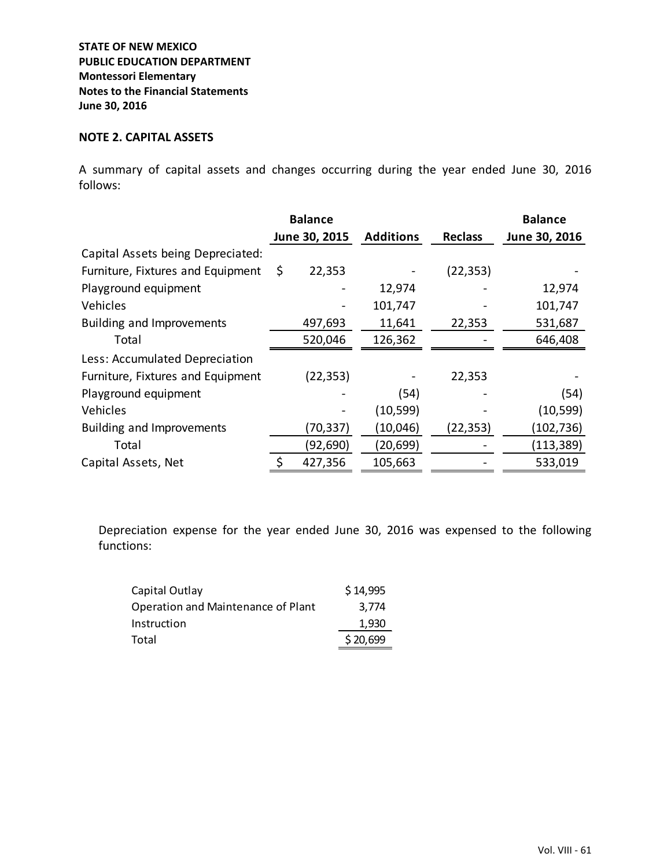#### **NOTE 2. CAPITAL ASSETS**

A summary of capital assets and changes occurring during the year ended June 30, 2016 follows:

|                                   | <b>Balance</b> |                  |                | <b>Balance</b> |
|-----------------------------------|----------------|------------------|----------------|----------------|
|                                   | June 30, 2015  | <b>Additions</b> | <b>Reclass</b> | June 30, 2016  |
| Capital Assets being Depreciated: |                |                  |                |                |
| Furniture, Fixtures and Equipment | \$<br>22,353   |                  | (22, 353)      |                |
| Playground equipment              |                | 12,974           |                | 12,974         |
| Vehicles                          |                | 101,747          |                | 101,747        |
| <b>Building and Improvements</b>  | 497,693        | 11,641           | 22,353         | 531,687        |
| Total                             | 520,046        | 126,362          |                | 646,408        |
| Less: Accumulated Depreciation    |                |                  |                |                |
| Furniture, Fixtures and Equipment | (22, 353)      |                  | 22,353         |                |
| Playground equipment              |                | (54)             |                | (54)           |
| Vehicles                          |                | (10, 599)        |                | (10, 599)      |
| <b>Building and Improvements</b>  | (70,337)       | (10,046)         | (22,353)       | (102, 736)     |
| Total                             | (92,690)       | (20, 699)        |                | (113, 389)     |
| Capital Assets, Net               | 427,356        | 105,663          |                | 533,019        |

Depreciation expense for the year ended June 30, 2016 was expensed to the following functions:

| Capital Outlay                     | \$14,995 |
|------------------------------------|----------|
| Operation and Maintenance of Plant | 3.774    |
| Instruction                        | 1.930    |
| Total                              | \$20,699 |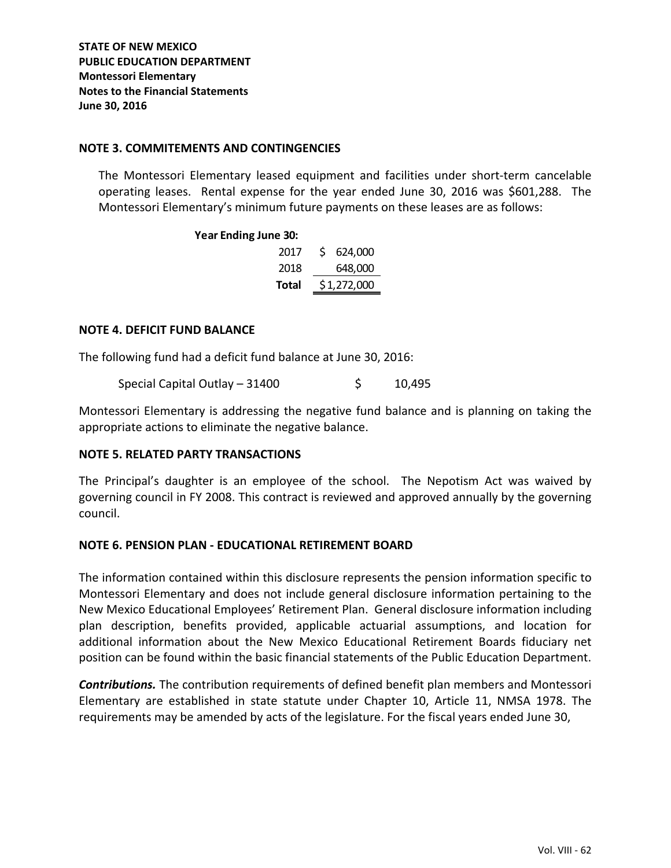## **NOTE 3. COMMITEMENTS AND CONTINGENCIES**

The Montessori Elementary leased equipment and facilities under short‐term cancelable operating leases. Rental expense for the year ended June 30, 2016 was \$601,288. The Montessori Elementary's minimum future payments on these leases are as follows:

### **Year Ending June 30:**

| 2017  | S. | 624,000     |
|-------|----|-------------|
| 2018  |    | 648,000     |
| Total |    | \$1,272,000 |

#### **NOTE 4. DEFICIT FUND BALANCE**

The following fund had a deficit fund balance at June 30, 2016:

Special Capital Outlay –  $31400$  \$  $10,495$ 

Montessori Elementary is addressing the negative fund balance and is planning on taking the appropriate actions to eliminate the negative balance.

# **NOTE 5. RELATED PARTY TRANSACTIONS**

The Principal's daughter is an employee of the school. The Nepotism Act was waived by governing council in FY 2008. This contract is reviewed and approved annually by the governing council.

#### **NOTE 6. PENSION PLAN ‐ EDUCATIONAL RETIREMENT BOARD**

The information contained within this disclosure represents the pension information specific to Montessori Elementary and does not include general disclosure information pertaining to the New Mexico Educational Employees' Retirement Plan. General disclosure information including plan description, benefits provided, applicable actuarial assumptions, and location for additional information about the New Mexico Educational Retirement Boards fiduciary net position can be found within the basic financial statements of the Public Education Department.

*Contributions.* The contribution requirements of defined benefit plan members and Montessori Elementary are established in state statute under Chapter 10, Article 11, NMSA 1978. The requirements may be amended by acts of the legislature. For the fiscal years ended June 30,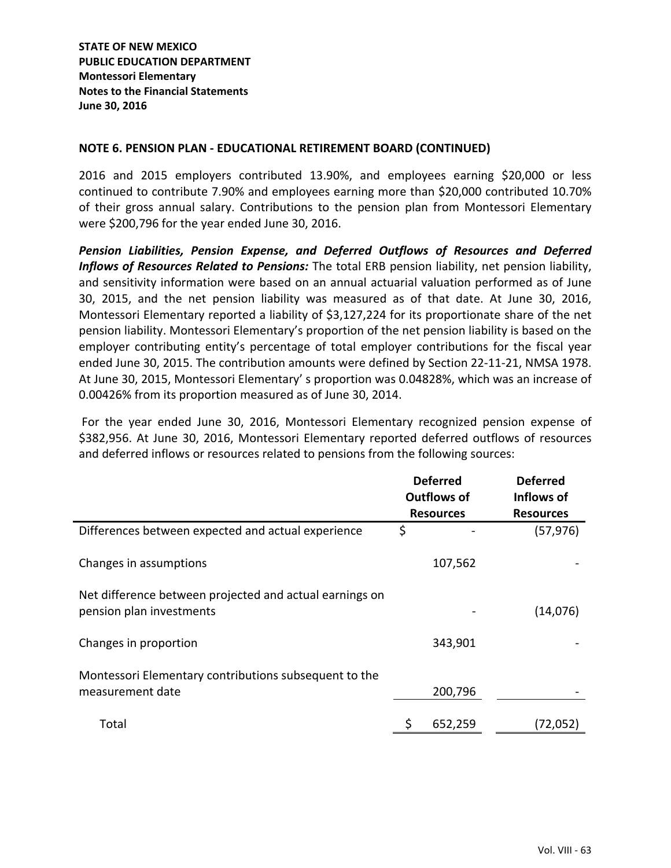**STATE OF NEW MEXICO PUBLIC EDUCATION DEPARTMENT Montessori Elementary Notes to the Financial Statements June 30, 2016**

### **NOTE 6. PENSION PLAN ‐ EDUCATIONAL RETIREMENT BOARD (CONTINUED)**

2016 and 2015 employers contributed 13.90%, and employees earning \$20,000 or less continued to contribute 7.90% and employees earning more than \$20,000 contributed 10.70% of their gross annual salary. Contributions to the pension plan from Montessori Elementary were \$200,796 for the year ended June 30, 2016.

*Pension Liabilities, Pension Expense, and Deferred Outflows of Resources and Deferred Inflows of Resources Related to Pensions:* The total ERB pension liability, net pension liability, and sensitivity information were based on an annual actuarial valuation performed as of June 30, 2015, and the net pension liability was measured as of that date. At June 30, 2016, Montessori Elementary reported a liability of \$3,127,224 for its proportionate share of the net pension liability. Montessori Elementary's proportion of the net pension liability is based on the employer contributing entity's percentage of total employer contributions for the fiscal year ended June 30, 2015. The contribution amounts were defined by Section 22‐11‐21, NMSA 1978. At June 30, 2015, Montessori Elementary' s proportion was 0.04828%, which was an increase of 0.00426% from its proportion measured as of June 30, 2014.

For the year ended June 30, 2016, Montessori Elementary recognized pension expense of \$382,956. At June 30, 2016, Montessori Elementary reported deferred outflows of resources and deferred inflows or resources related to pensions from the following sources:

|                                                                                     | <b>Deferred</b><br>Outflows of<br><b>Resources</b> | <b>Deferred</b><br>Inflows of<br><b>Resources</b> |
|-------------------------------------------------------------------------------------|----------------------------------------------------|---------------------------------------------------|
| Differences between expected and actual experience                                  | \$                                                 | (57, 976)                                         |
| Changes in assumptions                                                              | 107,562                                            |                                                   |
| Net difference between projected and actual earnings on<br>pension plan investments |                                                    | (14,076)                                          |
| Changes in proportion                                                               | 343,901                                            |                                                   |
| Montessori Elementary contributions subsequent to the<br>measurement date           | 200,796                                            |                                                   |
| Total                                                                               | \$<br>652,259                                      | (72,052)                                          |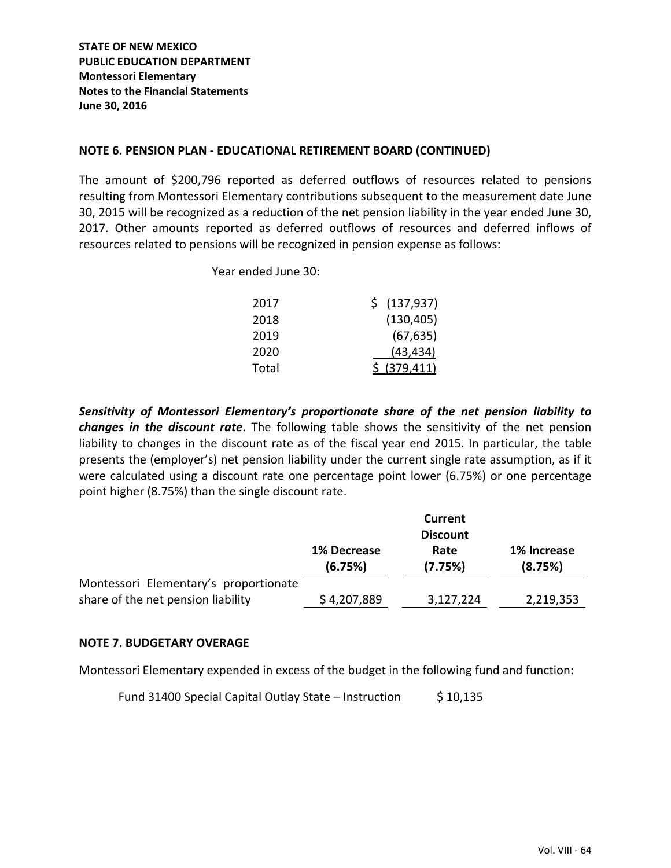## **NOTE 6. PENSION PLAN ‐ EDUCATIONAL RETIREMENT BOARD (CONTINUED)**

The amount of \$200,796 reported as deferred outflows of resources related to pensions resulting from Montessori Elementary contributions subsequent to the measurement date June 30, 2015 will be recognized as a reduction of the net pension liability in the year ended June 30, 2017. Other amounts reported as deferred outflows of resources and deferred inflows of resources related to pensions will be recognized in pension expense as follows:

Year ended June 30:

| 2017  | \$ (137,937)  |
|-------|---------------|
| 2018  | (130, 405)    |
| 2019  | (67, 635)     |
| 2020  | (43, 434)     |
| Total | \$ (379, 411) |

*Sensitivity of Montessori Elementary's proportionate share of the net pension liability to changes in the discount rate*. The following table shows the sensitivity of the net pension liability to changes in the discount rate as of the fiscal year end 2015. In particular, the table presents the (employer's) net pension liability under the current single rate assumption, as if it were calculated using a discount rate one percentage point lower (6.75%) or one percentage point higher (8.75%) than the single discount rate.

|                                       |                        | Current         |                        |  |  |  |  |
|---------------------------------------|------------------------|-----------------|------------------------|--|--|--|--|
|                                       | <b>Discount</b>        |                 |                        |  |  |  |  |
|                                       | 1% Decrease<br>(6.75%) | Rate<br>(7.75%) | 1% Increase<br>(8.75%) |  |  |  |  |
| Montessori Elementary's proportionate |                        |                 |                        |  |  |  |  |
| share of the net pension liability    | \$4,207,889            | 3,127,224       | 2,219,353              |  |  |  |  |

#### **NOTE 7. BUDGETARY OVERAGE**

Montessori Elementary expended in excess of the budget in the following fund and function:

Fund 31400 Special Capital Outlay State – Instruction  $\frac{\xi}{10,135}$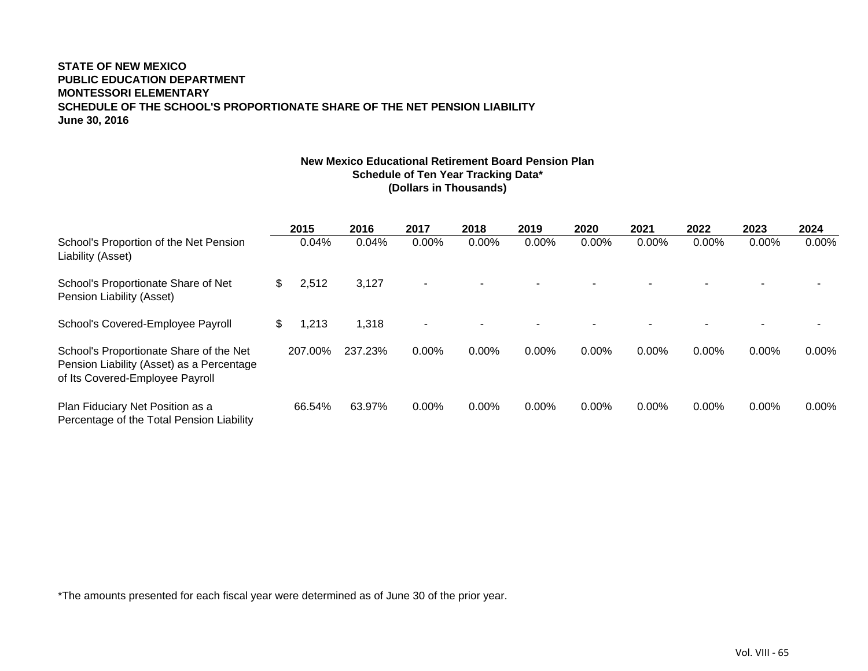#### **STATE OF NEW MEXICOPUBLIC EDUCATION DEPARTMENTMONTESSORI ELEMENTARYSCHEDULE OF THE SCHOOL'S PROPORTIONATE SHARE OF THE NET PENSION LIABILITY June 30, 2016**

### **New Mexico Educational Retirement Board Pension PlanSchedule of Ten Year Tracking Data\* (Dollars in Thousands)**

|                                                                                                                         | 2015        | 2016    | 2017           | 2018     | 2019     | 2020     | 2021  | 2022     | 2023     | 2024     |
|-------------------------------------------------------------------------------------------------------------------------|-------------|---------|----------------|----------|----------|----------|-------|----------|----------|----------|
| School's Proportion of the Net Pension<br>Liability (Asset)                                                             | 0.04%       | 0.04%   | $0.00\%$       | $0.00\%$ | $0.00\%$ | $0.00\%$ | 0.00% | $0.00\%$ | $0.00\%$ | $0.00\%$ |
| School's Proportionate Share of Net<br>Pension Liability (Asset)                                                        | \$<br>2,512 | 3,127   | $\blacksquare$ |          |          |          |       |          |          |          |
| School's Covered-Employee Payroll                                                                                       | \$<br>1,213 | 1,318   | ۰              |          |          |          |       |          |          |          |
| School's Proportionate Share of the Net<br>Pension Liability (Asset) as a Percentage<br>of Its Covered-Employee Payroll | 207.00%     | 237.23% | 0.00%          | $0.00\%$ | 0.00%    | $0.00\%$ | 0.00% | 0.00%    | $0.00\%$ | $0.00\%$ |
| Plan Fiduciary Net Position as a<br>Percentage of the Total Pension Liability                                           | 66.54%      | 63.97%  | 0.00%          | $0.00\%$ | $0.00\%$ | $0.00\%$ | 0.00% | 0.00%    | $0.00\%$ | $0.00\%$ |

\*The amounts presented for each fiscal year were determined as of June 30 of the prior year.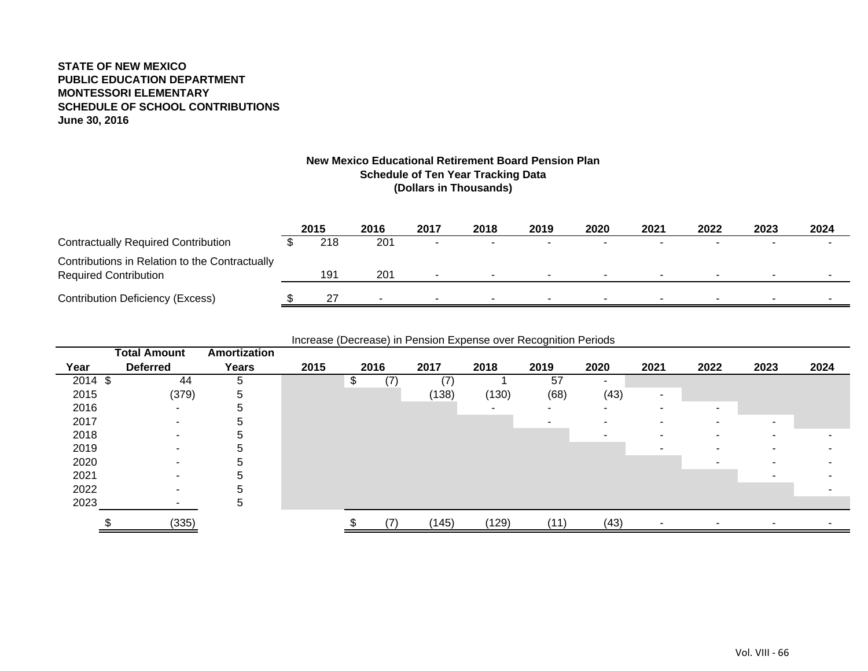#### **STATE OF NEW MEXICOPUBLIC EDUCATION DEPARTMENTMONTESSORI ELEMENTARYSCHEDULE OF SCHOOL CONTRIBUTIONS June 30, 2016**

#### **New Mexico Educational Retirement Board Pension Plan Schedule of Ten Year Tracking Data (Dollars in Thousands)**

|                                                                                | 2015 | 2016                     | 2017 | 2018                     | 2019   | 2020 | 2021   | 2022   | 2023                     | 2024 |
|--------------------------------------------------------------------------------|------|--------------------------|------|--------------------------|--------|------|--------|--------|--------------------------|------|
| <b>Contractually Required Contribution</b>                                     | 218  | 201                      |      |                          | $\sim$ |      |        |        |                          |      |
| Contributions in Relation to the Contractually<br><b>Required Contribution</b> | 191  | 201                      |      | $\sim$                   | $\sim$ | . .  | $\sim$ | $\sim$ | $\overline{\phantom{a}}$ |      |
| <b>Contribution Deficiency (Excess)</b>                                        |      | $\overline{\phantom{a}}$ |      | $\overline{\phantom{a}}$ | $\sim$ |      |        | . .    | -                        |      |

Increase (Decrease) in Pension Expense over Recognition Periods

|           | <b>Total Amount</b>      | Amortization  |      |      |       |       |        |                          |                          |                          |                          |      |
|-----------|--------------------------|---------------|------|------|-------|-------|--------|--------------------------|--------------------------|--------------------------|--------------------------|------|
| Year      | <b>Deferred</b>          | Years         | 2015 | 2016 | 2017  | 2018  | 2019   | 2020                     | 2021                     | 2022                     | 2023                     | 2024 |
| $2014$ \$ | 44                       | 5             |      | (7)  | (7)   |       | 57     | $\blacksquare$           |                          |                          |                          |      |
| 2015      | (379)                    | 5             |      |      | (138) | (130) | (68)   | (43)                     | $\overline{\phantom{a}}$ |                          |                          |      |
| 2016      | ۰.                       | ≎             |      |      |       | ۰     | $\sim$ | $\overline{\phantom{a}}$ |                          | $\overline{\phantom{0}}$ |                          |      |
| 2017      | $\overline{\phantom{a}}$ |               |      |      |       |       |        |                          |                          |                          | $\overline{\phantom{0}}$ |      |
| 2018      | ٠                        |               |      |      |       |       |        |                          |                          |                          | ٠                        |      |
| 2019      | $\overline{\phantom{a}}$ | Ð             |      |      |       |       |        |                          |                          |                          | -                        |      |
| 2020      |                          |               |      |      |       |       |        |                          |                          |                          |                          |      |
| 2021      | $\overline{\phantom{a}}$ |               |      |      |       |       |        |                          |                          |                          |                          |      |
| 2022      | $\overline{\phantom{a}}$ |               |      |      |       |       |        |                          |                          |                          |                          |      |
| 2023      |                          | $\mathcal{L}$ |      |      |       |       |        |                          |                          |                          |                          |      |
|           | (335)                    |               |      | (7)  | (145) | (129) | (11)   | (43)                     |                          |                          |                          |      |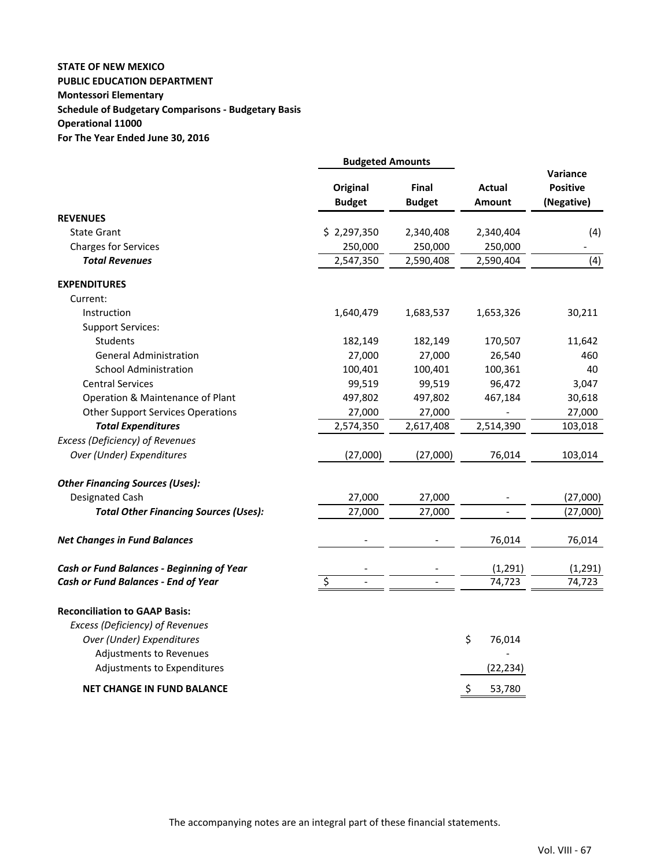## **STATE OF NEW MEXICO PUBLIC EDUCATION DEPARTMENT Montessori Elementary Schedule of Budgetary Comparisons ‐ Budgetary Basis Operational 11000 For The Year Ended June 30, 2016**

|                                                  | <b>Budgeted Amounts</b>          |                               |                  |                                                  |
|--------------------------------------------------|----------------------------------|-------------------------------|------------------|--------------------------------------------------|
|                                                  | <b>Original</b><br><b>Budget</b> | <b>Final</b><br><b>Budget</b> | Actual<br>Amount | <b>Variance</b><br><b>Positive</b><br>(Negative) |
| <b>REVENUES</b>                                  |                                  |                               |                  |                                                  |
| <b>State Grant</b>                               | \$2,297,350                      | 2,340,408                     | 2,340,404        | (4)                                              |
| <b>Charges for Services</b>                      | 250,000                          | 250,000                       | 250,000          |                                                  |
| <b>Total Revenues</b>                            | 2,547,350                        | 2,590,408                     | 2,590,404        | (4)                                              |
| <b>EXPENDITURES</b>                              |                                  |                               |                  |                                                  |
| Current:                                         |                                  |                               |                  |                                                  |
| Instruction                                      | 1,640,479                        | 1,683,537                     | 1,653,326        | 30,211                                           |
| <b>Support Services:</b>                         |                                  |                               |                  |                                                  |
| <b>Students</b>                                  | 182,149                          | 182,149                       | 170,507          | 11,642                                           |
| <b>General Administration</b>                    | 27,000                           | 27,000                        | 26,540           | 460                                              |
| <b>School Administration</b>                     | 100,401                          | 100,401                       | 100,361          | 40                                               |
| <b>Central Services</b>                          | 99,519                           | 99,519                        | 96,472           | 3,047                                            |
| Operation & Maintenance of Plant                 | 497,802                          | 497,802                       | 467,184          | 30,618                                           |
| <b>Other Support Services Operations</b>         | 27,000                           | 27,000                        |                  | 27,000                                           |
| <b>Total Expenditures</b>                        | 2,574,350                        | 2,617,408                     | 2,514,390        | 103,018                                          |
| <b>Excess (Deficiency) of Revenues</b>           |                                  |                               |                  |                                                  |
| Over (Under) Expenditures                        | (27,000)                         | (27,000)                      | 76,014           | 103,014                                          |
| <b>Other Financing Sources (Uses):</b>           |                                  |                               |                  |                                                  |
| Designated Cash                                  | 27,000                           | 27,000                        |                  | (27,000)                                         |
| <b>Total Other Financing Sources (Uses):</b>     | 27,000                           | 27,000                        |                  | (27,000)                                         |
| <b>Net Changes in Fund Balances</b>              |                                  |                               | 76,014           | 76,014                                           |
| <b>Cash or Fund Balances - Beginning of Year</b> |                                  |                               | (1, 291)         | (1, 291)                                         |
| Cash or Fund Balances - End of Year              | $\overline{\mathsf{S}}$          |                               | 74,723           | 74,723                                           |
| <b>Reconciliation to GAAP Basis:</b>             |                                  |                               |                  |                                                  |
| Excess (Deficiency) of Revenues                  |                                  |                               |                  |                                                  |
| Over (Under) Expenditures                        |                                  |                               | \$<br>76,014     |                                                  |
| Adjustments to Revenues                          |                                  |                               |                  |                                                  |
| Adjustments to Expenditures                      |                                  |                               | (22, 234)        |                                                  |
| <b>NET CHANGE IN FUND BALANCE</b>                |                                  |                               | \$<br>53,780     |                                                  |
|                                                  |                                  |                               |                  |                                                  |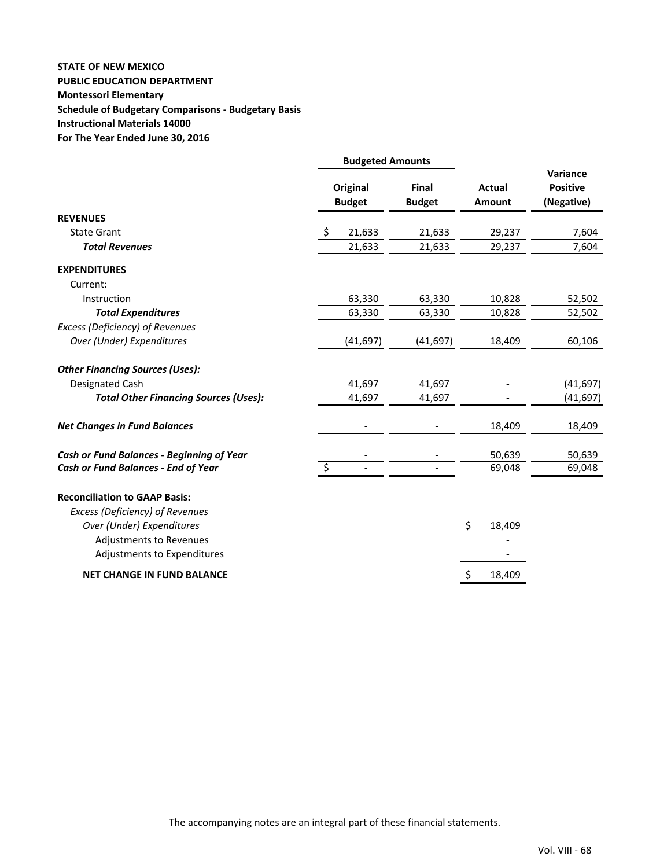## **STATE OF NEW MEXICO PUBLIC EDUCATION DEPARTMENT Montessori Elementary Schedule of Budgetary Comparisons ‐ Budgetary Basis Instructional Materials 14000 For The Year Ended June 30, 2016**

|                                                                                                                                                                | <b>Budgeted Amounts</b>          |                        |                         |                                           |  |
|----------------------------------------------------------------------------------------------------------------------------------------------------------------|----------------------------------|------------------------|-------------------------|-------------------------------------------|--|
|                                                                                                                                                                | <b>Original</b><br><b>Budget</b> | Final<br><b>Budget</b> | <b>Actual</b><br>Amount | Variance<br><b>Positive</b><br>(Negative) |  |
| <b>REVENUES</b>                                                                                                                                                |                                  |                        |                         |                                           |  |
| <b>State Grant</b>                                                                                                                                             | 21,633<br>\$                     | 21,633                 | 29,237                  | 7,604                                     |  |
| <b>Total Revenues</b>                                                                                                                                          | 21,633                           | 21,633                 | 29,237                  | 7,604                                     |  |
| <b>EXPENDITURES</b>                                                                                                                                            |                                  |                        |                         |                                           |  |
| Current:                                                                                                                                                       |                                  |                        |                         |                                           |  |
| Instruction                                                                                                                                                    | 63,330                           | 63,330                 | 10,828                  | 52,502                                    |  |
| <b>Total Expenditures</b>                                                                                                                                      | 63,330                           | 63,330                 | 10,828                  | 52,502                                    |  |
| Excess (Deficiency) of Revenues                                                                                                                                |                                  |                        |                         |                                           |  |
| Over (Under) Expenditures                                                                                                                                      | (41, 697)                        | (41, 697)              | 18,409                  | 60,106                                    |  |
| <b>Other Financing Sources (Uses):</b>                                                                                                                         |                                  |                        |                         |                                           |  |
| Designated Cash                                                                                                                                                | 41,697                           | 41,697                 |                         | (41, 697)                                 |  |
| <b>Total Other Financing Sources (Uses):</b>                                                                                                                   | 41,697                           | 41,697                 |                         | (41, 697)                                 |  |
| <b>Net Changes in Fund Balances</b>                                                                                                                            |                                  |                        | 18,409                  | 18,409                                    |  |
| <b>Cash or Fund Balances - Beginning of Year</b>                                                                                                               |                                  |                        | 50,639                  | 50,639                                    |  |
| Cash or Fund Balances - End of Year                                                                                                                            | $\overline{\varsigma}$           |                        | 69,048                  | 69,048                                    |  |
| <b>Reconciliation to GAAP Basis:</b><br>Excess (Deficiency) of Revenues<br>Over (Under) Expenditures<br>Adjustments to Revenues<br>Adjustments to Expenditures |                                  |                        | \$<br>18,409            |                                           |  |
| <b>NET CHANGE IN FUND BALANCE</b>                                                                                                                              |                                  |                        | \$<br>18,409            |                                           |  |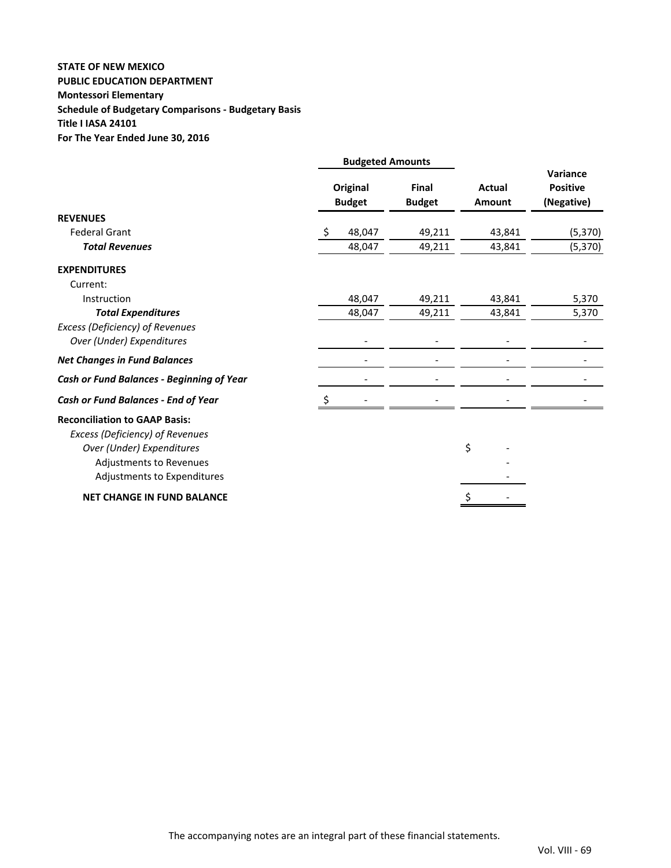## **STATE OF NEW MEXICO PUBLIC EDUCATION DEPARTMENT Montessori Elementary Schedule of Budgetary Comparisons ‐ Budgetary Basis Title I IASA 24101 For The Year Ended June 30, 2016**

|                                           | <b>Budgeted Amounts</b>          |                        |                         |                                           |  |
|-------------------------------------------|----------------------------------|------------------------|-------------------------|-------------------------------------------|--|
|                                           | <b>Original</b><br><b>Budget</b> | Final<br><b>Budget</b> | <b>Actual</b><br>Amount | Variance<br><b>Positive</b><br>(Negative) |  |
| <b>REVENUES</b>                           |                                  |                        |                         |                                           |  |
| <b>Federal Grant</b>                      | \$<br>48,047                     | 49,211                 | 43,841                  | (5, 370)                                  |  |
| <b>Total Revenues</b>                     | 48,047                           | 49,211                 | 43,841                  | (5, 370)                                  |  |
| <b>EXPENDITURES</b>                       |                                  |                        |                         |                                           |  |
| Current:                                  |                                  |                        |                         |                                           |  |
| Instruction                               | 48,047                           | 49,211                 | 43,841                  | 5,370                                     |  |
| <b>Total Expenditures</b>                 | 48,047                           | 49,211                 | 43,841                  | 5,370                                     |  |
| Excess (Deficiency) of Revenues           |                                  |                        |                         |                                           |  |
| Over (Under) Expenditures                 |                                  |                        |                         |                                           |  |
| <b>Net Changes in Fund Balances</b>       |                                  |                        |                         |                                           |  |
| Cash or Fund Balances - Beginning of Year |                                  |                        |                         |                                           |  |
| Cash or Fund Balances - End of Year       |                                  |                        |                         |                                           |  |
| <b>Reconciliation to GAAP Basis:</b>      |                                  |                        |                         |                                           |  |
| Excess (Deficiency) of Revenues           |                                  |                        |                         |                                           |  |
| Over (Under) Expenditures                 |                                  |                        | \$                      |                                           |  |
| Adjustments to Revenues                   |                                  |                        |                         |                                           |  |
| Adjustments to Expenditures               |                                  |                        |                         |                                           |  |
| <b>NET CHANGE IN FUND BALANCE</b>         |                                  |                        |                         |                                           |  |
|                                           |                                  |                        |                         |                                           |  |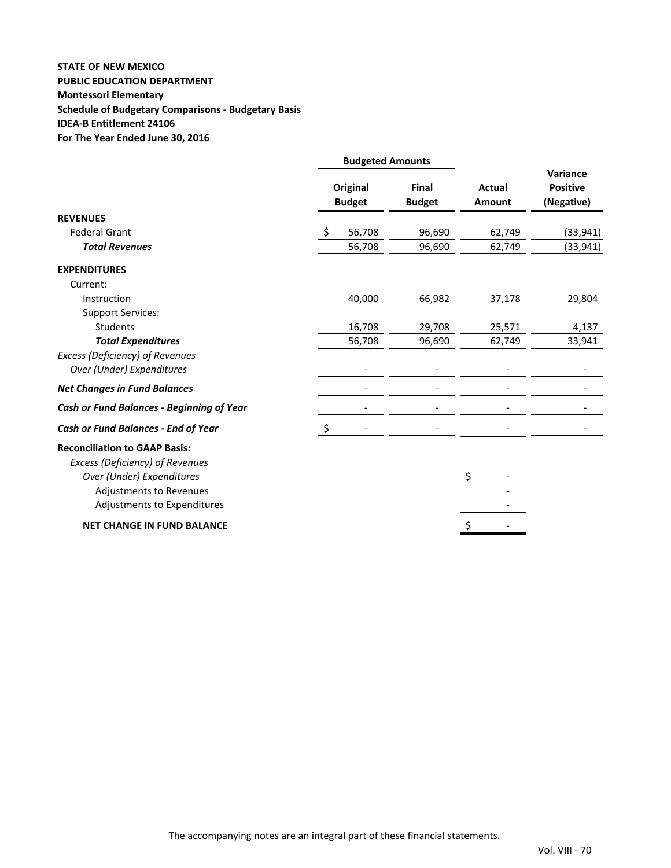## **STATE OF NEW MEXICO PUBLIC EDUCATION DEPARTMENT Montessori Elementary Schedule of Budgetary Comparisons ‐ Budgetary Basis IDEA‐B Entitlement 24106 For The Year Ended June 30, 2016**

|                                           | <b>Budgeted Amounts</b>   |                               |                         |                                           |  |
|-------------------------------------------|---------------------------|-------------------------------|-------------------------|-------------------------------------------|--|
|                                           | Original<br><b>Budget</b> | <b>Final</b><br><b>Budget</b> | <b>Actual</b><br>Amount | Variance<br><b>Positive</b><br>(Negative) |  |
| <b>REVENUES</b>                           |                           |                               |                         |                                           |  |
| <b>Federal Grant</b>                      | Ŝ.<br>56,708              | 96,690                        | 62,749                  | (33, 941)                                 |  |
| <b>Total Revenues</b>                     | 56,708                    | 96,690                        | 62,749                  | (33, 941)                                 |  |
| <b>EXPENDITURES</b>                       |                           |                               |                         |                                           |  |
| Current:                                  |                           |                               |                         |                                           |  |
| Instruction                               | 40,000                    | 66,982                        | 37,178                  | 29,804                                    |  |
| <b>Support Services:</b>                  |                           |                               |                         |                                           |  |
| <b>Students</b>                           | 16,708                    | 29,708                        | 25,571                  | 4,137                                     |  |
| <b>Total Expenditures</b>                 | 56,708                    | 96,690                        | 62,749                  | 33,941                                    |  |
| Excess (Deficiency) of Revenues           |                           |                               |                         |                                           |  |
| Over (Under) Expenditures                 | $\qquad \qquad -$         |                               |                         |                                           |  |
| <b>Net Changes in Fund Balances</b>       |                           |                               |                         |                                           |  |
| Cash or Fund Balances - Beginning of Year |                           |                               |                         |                                           |  |
| Cash or Fund Balances - End of Year       | \$                        |                               |                         |                                           |  |
| <b>Reconciliation to GAAP Basis:</b>      |                           |                               |                         |                                           |  |
| Excess (Deficiency) of Revenues           |                           |                               |                         |                                           |  |
| Over (Under) Expenditures                 |                           |                               | \$                      |                                           |  |
| Adjustments to Revenues                   |                           |                               |                         |                                           |  |
| Adjustments to Expenditures               |                           |                               |                         |                                           |  |
| <b>NET CHANGE IN FUND BALANCE</b>         |                           |                               |                         |                                           |  |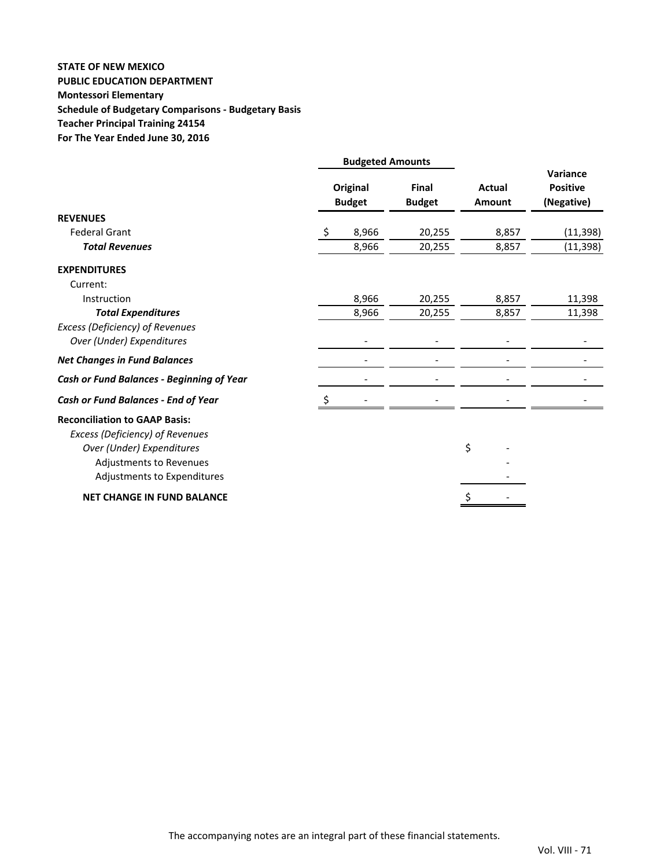## **STATE OF NEW MEXICO PUBLIC EDUCATION DEPARTMENT Montessori Elementary Schedule of Budgetary Comparisons ‐ Budgetary Basis Teacher Principal Training 24154 For The Year Ended June 30, 2016**

|                                                                                                      | <b>Budgeted Amounts</b> |                           |                        |                         |                                           |
|------------------------------------------------------------------------------------------------------|-------------------------|---------------------------|------------------------|-------------------------|-------------------------------------------|
|                                                                                                      |                         | Original<br><b>Budget</b> | Final<br><b>Budget</b> | <b>Actual</b><br>Amount | Variance<br><b>Positive</b><br>(Negative) |
| <b>REVENUES</b>                                                                                      |                         |                           |                        |                         |                                           |
| <b>Federal Grant</b>                                                                                 | Ŝ.                      | 8,966                     | 20,255                 | 8,857                   | (11, 398)                                 |
| <b>Total Revenues</b>                                                                                |                         | 8,966                     | 20,255                 | 8,857                   | (11, 398)                                 |
| <b>EXPENDITURES</b><br>Current:                                                                      |                         |                           |                        |                         |                                           |
| Instruction                                                                                          |                         | 8,966                     | 20,255                 | 8,857                   | 11,398                                    |
| <b>Total Expenditures</b>                                                                            |                         | 8,966                     | 20,255                 | 8,857                   | 11,398                                    |
| Excess (Deficiency) of Revenues<br>Over (Under) Expenditures                                         |                         |                           |                        |                         |                                           |
| <b>Net Changes in Fund Balances</b>                                                                  |                         |                           |                        |                         |                                           |
| Cash or Fund Balances - Beginning of Year                                                            |                         |                           |                        |                         |                                           |
| Cash or Fund Balances - End of Year                                                                  |                         |                           |                        |                         |                                           |
| <b>Reconciliation to GAAP Basis:</b><br>Excess (Deficiency) of Revenues<br>Over (Under) Expenditures |                         |                           |                        | \$                      |                                           |
| Adjustments to Revenues<br>Adjustments to Expenditures                                               |                         |                           |                        |                         |                                           |
| <b>NET CHANGE IN FUND BALANCE</b>                                                                    |                         |                           |                        |                         |                                           |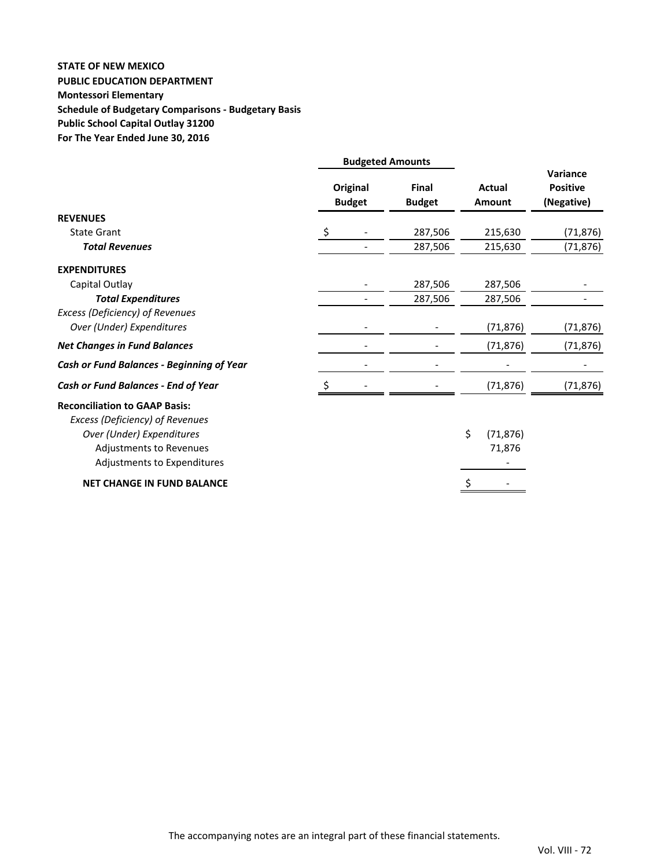## **STATE OF NEW MEXICO PUBLIC EDUCATION DEPARTMENT Montessori Elementary Schedule of Budgetary Comparisons ‐ Budgetary Basis Public School Capital Outlay 31200 For The Year Ended June 30, 2016**

|                                                                                                                                                                | <b>Budgeted Amounts</b> |                           |                               |                                |                                           |
|----------------------------------------------------------------------------------------------------------------------------------------------------------------|-------------------------|---------------------------|-------------------------------|--------------------------------|-------------------------------------------|
|                                                                                                                                                                |                         | Original<br><b>Budget</b> | <b>Final</b><br><b>Budget</b> | <b>Actual</b><br><b>Amount</b> | Variance<br><b>Positive</b><br>(Negative) |
| <b>REVENUES</b>                                                                                                                                                |                         |                           |                               |                                |                                           |
| <b>State Grant</b>                                                                                                                                             | \$                      |                           | 287,506                       | 215,630                        | (71, 876)                                 |
| <b>Total Revenues</b>                                                                                                                                          |                         |                           | 287,506                       | 215,630                        | (71, 876)                                 |
| <b>EXPENDITURES</b>                                                                                                                                            |                         |                           |                               |                                |                                           |
| Capital Outlay                                                                                                                                                 |                         |                           | 287,506                       | 287,506                        |                                           |
| <b>Total Expenditures</b>                                                                                                                                      |                         |                           | 287,506                       | 287,506                        |                                           |
| Excess (Deficiency) of Revenues<br>Over (Under) Expenditures                                                                                                   |                         |                           |                               | (71, 876)                      | (71,876)                                  |
| <b>Net Changes in Fund Balances</b>                                                                                                                            |                         |                           |                               | (71, 876)                      | (71, 876)                                 |
| Cash or Fund Balances - Beginning of Year                                                                                                                      |                         |                           |                               |                                |                                           |
| Cash or Fund Balances - End of Year                                                                                                                            |                         |                           |                               | (71, 876)                      | (71, 876)                                 |
| <b>Reconciliation to GAAP Basis:</b><br>Excess (Deficiency) of Revenues<br>Over (Under) Expenditures<br>Adjustments to Revenues<br>Adjustments to Expenditures |                         |                           |                               | \$<br>(71, 876)<br>71,876      |                                           |
| <b>NET CHANGE IN FUND BALANCE</b>                                                                                                                              |                         |                           |                               | \$                             |                                           |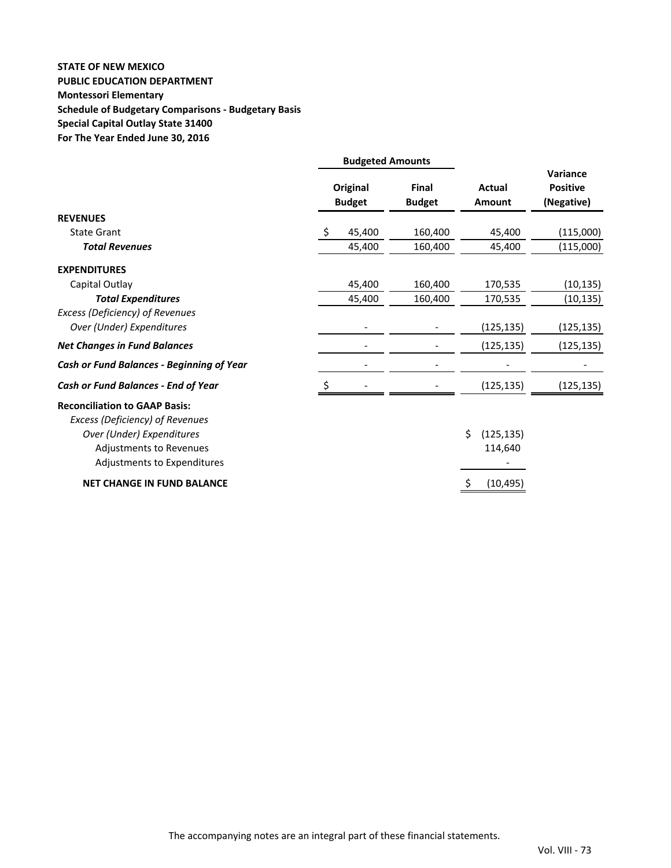## **STATE OF NEW MEXICO PUBLIC EDUCATION DEPARTMENT Montessori Elementary Schedule of Budgetary Comparisons ‐ Budgetary Basis Special Capital Outlay State 31400 For The Year Ended June 30, 2016**

|                                                                         | <b>Budgeted Amounts</b> |                           |                               |                                |                                           |
|-------------------------------------------------------------------------|-------------------------|---------------------------|-------------------------------|--------------------------------|-------------------------------------------|
|                                                                         |                         | Original<br><b>Budget</b> | <b>Final</b><br><b>Budget</b> | <b>Actual</b><br><b>Amount</b> | Variance<br><b>Positive</b><br>(Negative) |
| <b>REVENUES</b>                                                         |                         |                           |                               |                                |                                           |
| <b>State Grant</b>                                                      | Ŝ.                      | 45,400                    | 160,400                       | 45,400                         | (115,000)                                 |
| <b>Total Revenues</b>                                                   |                         | 45,400                    | 160,400                       | 45,400                         | (115,000)                                 |
| <b>EXPENDITURES</b>                                                     |                         |                           |                               |                                |                                           |
| Capital Outlay                                                          |                         | 45,400                    | 160,400                       | 170,535                        | (10, 135)                                 |
| <b>Total Expenditures</b>                                               |                         | 45,400                    | 160,400                       | 170,535                        | (10, 135)                                 |
| Excess (Deficiency) of Revenues                                         |                         |                           |                               |                                |                                           |
| Over (Under) Expenditures                                               |                         |                           |                               | (125, 135)                     | (125, 135)                                |
| <b>Net Changes in Fund Balances</b>                                     |                         |                           |                               | (125, 135)                     | (125, 135)                                |
| Cash or Fund Balances - Beginning of Year                               |                         |                           |                               |                                |                                           |
| Cash or Fund Balances - End of Year                                     | Ś                       |                           |                               | (125, 135)                     | (125, 135)                                |
| <b>Reconciliation to GAAP Basis:</b><br>Excess (Deficiency) of Revenues |                         |                           |                               |                                |                                           |
| Over (Under) Expenditures                                               |                         |                           |                               | \$<br>(125, 135)               |                                           |
| Adjustments to Revenues                                                 |                         |                           |                               | 114,640                        |                                           |
| Adjustments to Expenditures                                             |                         |                           |                               |                                |                                           |
| <b>NET CHANGE IN FUND BALANCE</b>                                       |                         |                           |                               | (10, 495)<br>S                 |                                           |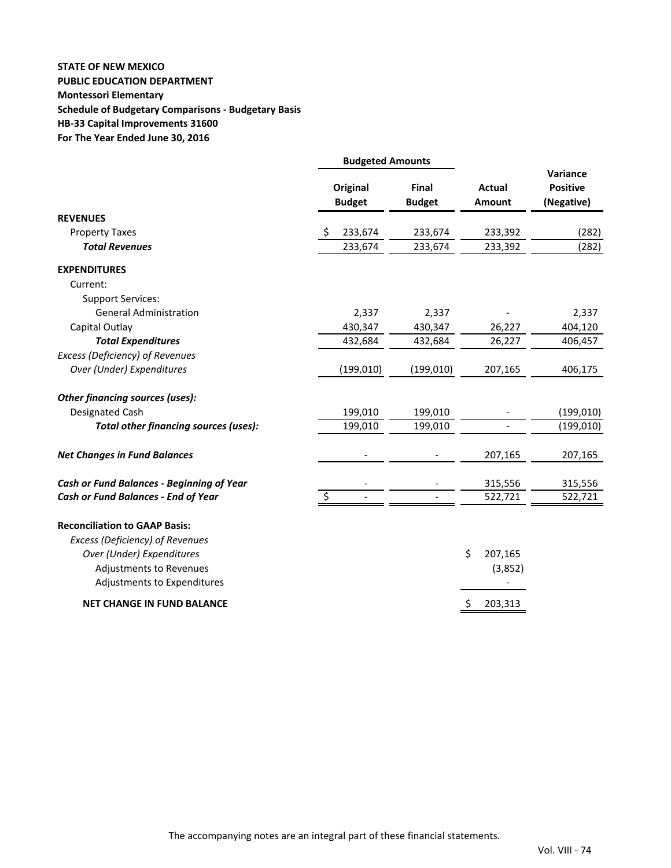## **STATE OF NEW MEXICO PUBLIC EDUCATION DEPARTMENT Montessori Elementary Schedule of Budgetary Comparisons ‐ Budgetary Basis HB‐33 Capital Improvements 31600 For The Year Ended June 30, 2016**

|                                           | <b>Budgeted Amounts</b>          |                               |                                |                                           |  |
|-------------------------------------------|----------------------------------|-------------------------------|--------------------------------|-------------------------------------------|--|
|                                           | <b>Original</b><br><b>Budget</b> | <b>Final</b><br><b>Budget</b> | <b>Actual</b><br><b>Amount</b> | Variance<br><b>Positive</b><br>(Negative) |  |
| <b>REVENUES</b>                           |                                  |                               |                                |                                           |  |
| <b>Property Taxes</b>                     | 233,674<br>Ŝ.                    | 233,674                       | 233,392                        | (282)                                     |  |
| <b>Total Revenues</b>                     | 233,674                          | 233,674                       | 233,392                        | (282)                                     |  |
| <b>EXPENDITURES</b>                       |                                  |                               |                                |                                           |  |
| Current:                                  |                                  |                               |                                |                                           |  |
| <b>Support Services:</b>                  |                                  |                               |                                |                                           |  |
| <b>General Administration</b>             | 2,337                            | 2,337                         |                                | 2,337                                     |  |
| Capital Outlay                            | 430,347                          | 430,347                       | 26,227                         | 404,120                                   |  |
| <b>Total Expenditures</b>                 | 432,684                          | 432,684                       | 26,227                         | 406,457                                   |  |
| <b>Excess (Deficiency) of Revenues</b>    |                                  |                               |                                |                                           |  |
| Over (Under) Expenditures                 | (199, 010)                       | (199, 010)                    | 207,165                        | 406,175                                   |  |
| Other financing sources (uses):           |                                  |                               |                                |                                           |  |
| Designated Cash                           | 199,010                          | 199,010                       |                                | (199, 010)                                |  |
| Total other financing sources (uses):     | 199,010                          | 199,010                       | $\blacksquare$                 | (199, 010)                                |  |
| <b>Net Changes in Fund Balances</b>       |                                  |                               | 207,165                        | 207,165                                   |  |
| Cash or Fund Balances - Beginning of Year |                                  |                               | 315,556                        | 315,556                                   |  |
| Cash or Fund Balances - End of Year       | \$                               |                               | 522,721                        | 522,721                                   |  |
| <b>Reconciliation to GAAP Basis:</b>      |                                  |                               |                                |                                           |  |
| Excess (Deficiency) of Revenues           |                                  |                               |                                |                                           |  |
| Over (Under) Expenditures                 |                                  |                               | \$<br>207,165                  |                                           |  |
| Adjustments to Revenues                   |                                  |                               | (3,852)                        |                                           |  |
| Adjustments to Expenditures               |                                  |                               |                                |                                           |  |
| <b>NET CHANGE IN FUND BALANCE</b>         |                                  |                               | \$<br>203,313                  |                                           |  |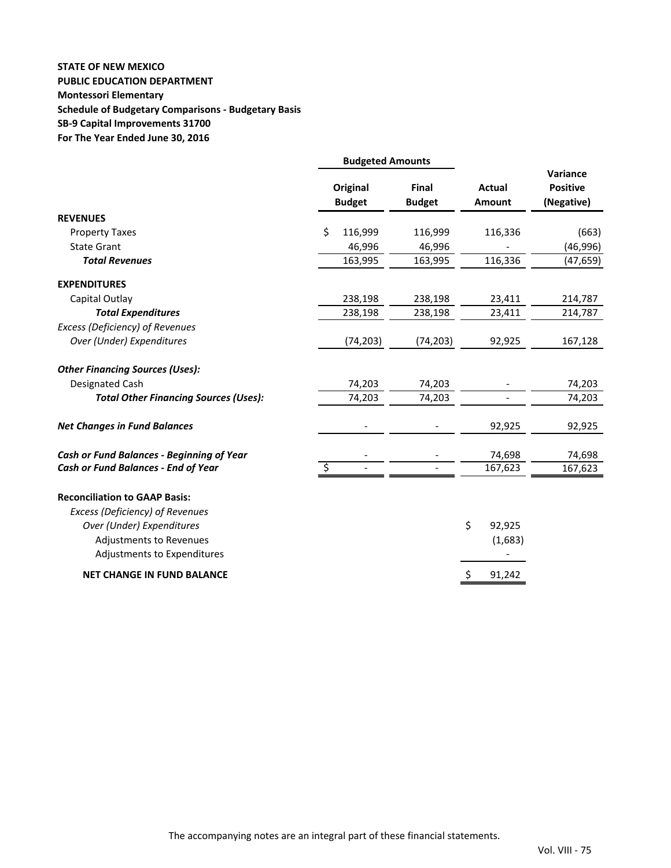## **STATE OF NEW MEXICO PUBLIC EDUCATION DEPARTMENT Montessori Elementary Schedule of Budgetary Comparisons ‐ Budgetary Basis SB‐9 Capital Improvements 31700 For The Year Ended June 30, 2016**

|                                                                                            | <b>Budgeted Amounts</b>          |                        |                         |                                           |
|--------------------------------------------------------------------------------------------|----------------------------------|------------------------|-------------------------|-------------------------------------------|
|                                                                                            | <b>Original</b><br><b>Budget</b> | Final<br><b>Budget</b> | <b>Actual</b><br>Amount | Variance<br><b>Positive</b><br>(Negative) |
| <b>REVENUES</b>                                                                            |                                  |                        |                         |                                           |
| <b>Property Taxes</b>                                                                      | 116,999<br>Ś.                    | 116,999                | 116,336                 | (663)                                     |
| <b>State Grant</b>                                                                         | 46,996                           | 46,996                 |                         | (46, 996)                                 |
| <b>Total Revenues</b>                                                                      | 163,995                          | 163,995                | 116,336                 | (47, 659)                                 |
| <b>EXPENDITURES</b>                                                                        |                                  |                        |                         |                                           |
| Capital Outlay                                                                             | 238,198                          | 238,198                | 23,411                  | 214,787                                   |
| <b>Total Expenditures</b>                                                                  | 238,198                          | 238,198                | 23,411                  | 214,787                                   |
| Excess (Deficiency) of Revenues                                                            |                                  |                        |                         |                                           |
| Over (Under) Expenditures                                                                  | (74, 203)                        | (74, 203)              | 92,925                  | 167,128                                   |
| <b>Other Financing Sources (Uses):</b>                                                     |                                  |                        |                         |                                           |
| Designated Cash                                                                            | 74,203                           | 74,203                 |                         | 74,203                                    |
| <b>Total Other Financing Sources (Uses):</b>                                               | 74,203                           | 74,203                 |                         | 74,203                                    |
| <b>Net Changes in Fund Balances</b>                                                        |                                  |                        | 92,925                  | 92,925                                    |
| <b>Cash or Fund Balances - Beginning of Year</b>                                           |                                  |                        | 74,698                  | 74,698                                    |
| Cash or Fund Balances - End of Year                                                        |                                  |                        | 167,623                 | 167,623                                   |
| <b>Reconciliation to GAAP Basis:</b><br>Excess (Deficiency) of Revenues                    |                                  |                        |                         |                                           |
| Over (Under) Expenditures<br><b>Adjustments to Revenues</b><br>Adjustments to Expenditures |                                  |                        | \$<br>92,925<br>(1,683) |                                           |
| <b>NET CHANGE IN FUND BALANCE</b>                                                          |                                  |                        | \$<br>91,242            |                                           |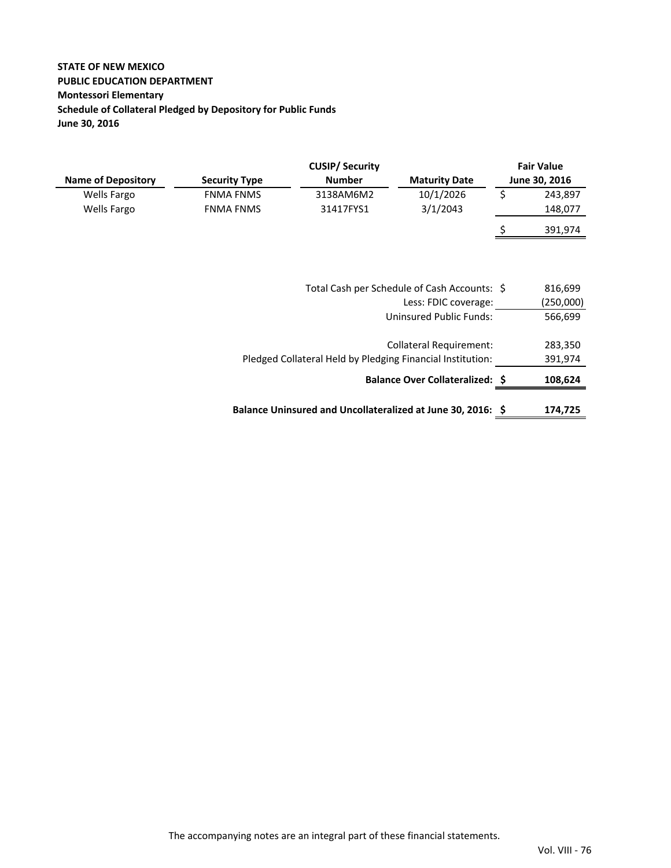## **STATE OF NEW MEXICO PUBLIC EDUCATION DEPARTMENT Montessori Elementary Schedule of Collateral Pledged by Depository for Public Funds June 30, 2016**

|                           |                      | <b>CUSIP/ Security</b> |                      | <b>Fair Value</b> |
|---------------------------|----------------------|------------------------|----------------------|-------------------|
| <b>Name of Depository</b> | <b>Security Type</b> | <b>Number</b>          | <b>Maturity Date</b> | June 30, 2016     |
| Wells Fargo               | <b>FNMA FNMS</b>     | 3138AM6M2              | 10/1/2026            | 243,897           |
| Wells Fargo               | <b>FNMA FNMS</b>     | 31417FYS1              | 3/1/2043             | 148,077           |
|                           |                      |                        |                      | 391,974           |

| Total Cash per Schedule of Cash Accounts: \$                | 816,699   |
|-------------------------------------------------------------|-----------|
| Less: FDIC coverage:                                        | (250,000) |
| <b>Uninsured Public Funds:</b>                              | 566,699   |
|                                                             |           |
| Collateral Requirement:                                     | 283,350   |
| Pledged Collateral Held by Pledging Financial Institution:  | 391,974   |
| <b>Balance Over Collateralized: \$</b>                      | 108,624   |
|                                                             |           |
| Balance Uninsured and Uncollateralized at June 30, 2016: \$ | 174,725   |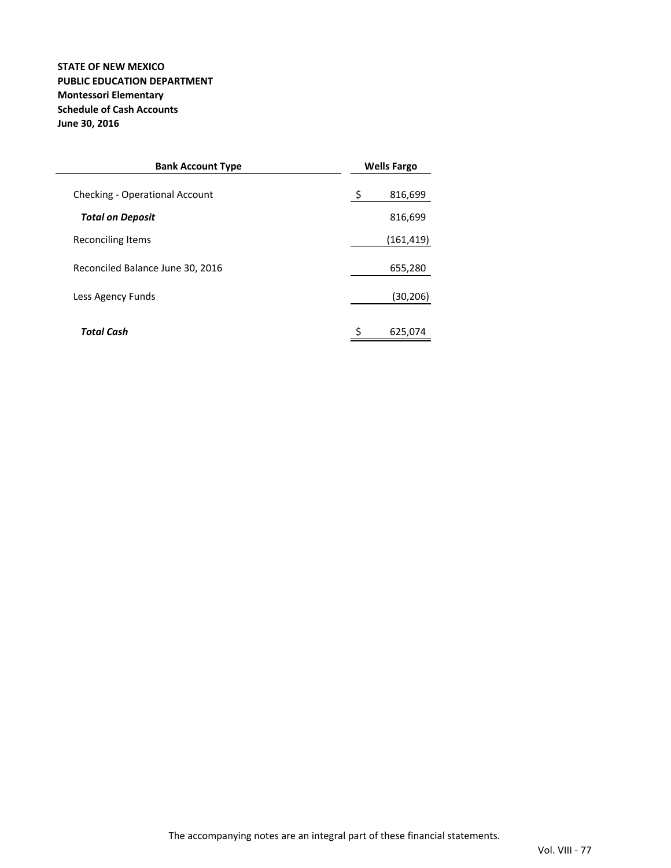### **STATE OF NEW MEXICO PUBLIC EDUCATION DEPARTMENT Montessori Elementary Schedule of Cash Accounts June 30, 2016**

| <b>Bank Account Type</b>         |    | <b>Wells Fargo</b> |  |
|----------------------------------|----|--------------------|--|
| Checking - Operational Account   | \$ | 816,699            |  |
| <b>Total on Deposit</b>          |    | 816,699            |  |
| Reconciling Items                |    | (161,419)          |  |
| Reconciled Balance June 30, 2016 |    | 655,280            |  |
| Less Agency Funds                |    | (30, 206)          |  |
| Total Cash                       | \$ | 625,074            |  |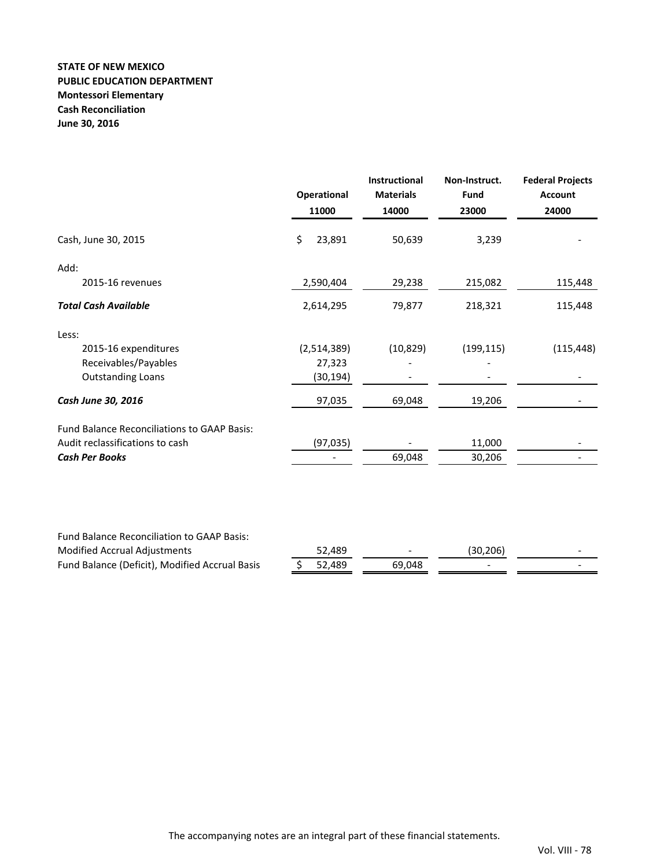### **STATE OF NEW MEXICO PUBLIC EDUCATION DEPARTMENT Montessori Elementary Cash Reconciliation June 30, 2016**

| \$<br>23,891<br>Cash, June 30, 2015<br>50,639<br>3,239<br>Add:<br>29,238<br>215,082<br>2015-16 revenues<br>2,590,404<br><b>Total Cash Available</b><br>79,877<br>2,614,295<br>218,321<br>Less:<br>2015-16 expenditures<br>(10, 829)<br>(199, 115)<br>(2,514,389)<br>Receivables/Payables<br>27,323<br><b>Outstanding Loans</b><br>(30, 194)<br>Cash June 30, 2016<br>97,035<br>69,048<br>19,206<br><b>Fund Balance Reconciliations to GAAP Basis:</b><br>Audit reclassifications to cash<br>(97, 035)<br>11,000<br><b>Cash Per Books</b><br>69,048<br>30,206<br>Fund Balance Reconciliation to GAAP Basis: |                              | <b>Operational</b><br>11000 | <b>Instructional</b><br><b>Materials</b><br>14000 | Non-Instruct.<br><b>Fund</b><br>23000 | <b>Federal Projects</b><br><b>Account</b><br>24000 |
|------------------------------------------------------------------------------------------------------------------------------------------------------------------------------------------------------------------------------------------------------------------------------------------------------------------------------------------------------------------------------------------------------------------------------------------------------------------------------------------------------------------------------------------------------------------------------------------------------------|------------------------------|-----------------------------|---------------------------------------------------|---------------------------------------|----------------------------------------------------|
|                                                                                                                                                                                                                                                                                                                                                                                                                                                                                                                                                                                                            |                              |                             |                                                   |                                       |                                                    |
|                                                                                                                                                                                                                                                                                                                                                                                                                                                                                                                                                                                                            |                              |                             |                                                   |                                       |                                                    |
|                                                                                                                                                                                                                                                                                                                                                                                                                                                                                                                                                                                                            |                              |                             |                                                   |                                       | 115,448                                            |
|                                                                                                                                                                                                                                                                                                                                                                                                                                                                                                                                                                                                            |                              |                             |                                                   |                                       | 115,448                                            |
|                                                                                                                                                                                                                                                                                                                                                                                                                                                                                                                                                                                                            |                              |                             |                                                   |                                       |                                                    |
|                                                                                                                                                                                                                                                                                                                                                                                                                                                                                                                                                                                                            |                              |                             |                                                   |                                       | (115, 448)                                         |
|                                                                                                                                                                                                                                                                                                                                                                                                                                                                                                                                                                                                            |                              |                             |                                                   |                                       |                                                    |
|                                                                                                                                                                                                                                                                                                                                                                                                                                                                                                                                                                                                            |                              |                             |                                                   |                                       |                                                    |
|                                                                                                                                                                                                                                                                                                                                                                                                                                                                                                                                                                                                            |                              |                             |                                                   |                                       |                                                    |
|                                                                                                                                                                                                                                                                                                                                                                                                                                                                                                                                                                                                            |                              |                             |                                                   |                                       |                                                    |
|                                                                                                                                                                                                                                                                                                                                                                                                                                                                                                                                                                                                            |                              |                             |                                                   |                                       |                                                    |
|                                                                                                                                                                                                                                                                                                                                                                                                                                                                                                                                                                                                            |                              |                             |                                                   |                                       |                                                    |
|                                                                                                                                                                                                                                                                                                                                                                                                                                                                                                                                                                                                            |                              |                             |                                                   |                                       |                                                    |
| 52,489                                                                                                                                                                                                                                                                                                                                                                                                                                                                                                                                                                                                     | Modified Accrual Adjustments |                             |                                                   | (30, 206)                             |                                                    |

Fund Balance (Deficit), Modified Accrual Basis  $\frac{1}{5}$  52,489 69,048